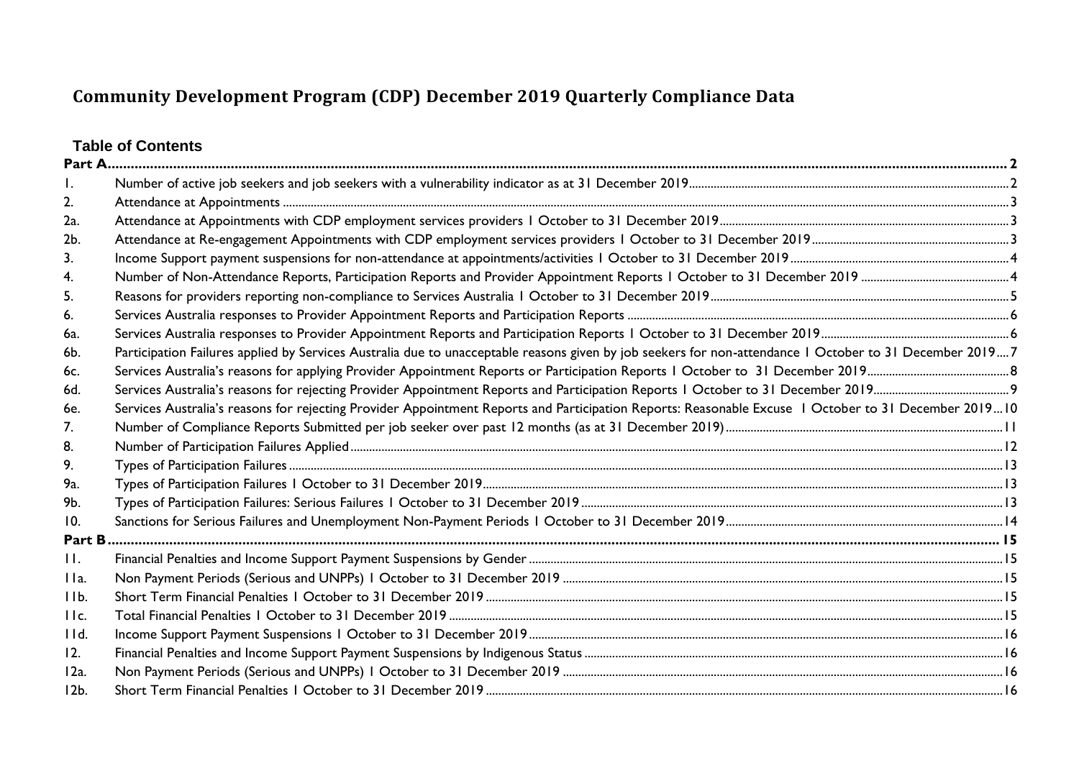# **Table of Contents**

| Ι.             |                                                                                                                                                         |  |
|----------------|---------------------------------------------------------------------------------------------------------------------------------------------------------|--|
| 2.             |                                                                                                                                                         |  |
| 2a.            |                                                                                                                                                         |  |
| 2 <sub>b</sub> |                                                                                                                                                         |  |
| 3.             |                                                                                                                                                         |  |
| 4.             |                                                                                                                                                         |  |
| 5.             |                                                                                                                                                         |  |
| 6.             |                                                                                                                                                         |  |
| 6a.            |                                                                                                                                                         |  |
| 6b.            | Participation Failures applied by Services Australia due to unacceptable reasons given by job seekers for non-attendance I October to 31 December 20197 |  |
| 6с.            |                                                                                                                                                         |  |
| 6d.            |                                                                                                                                                         |  |
| 6e.            | Services Australia's reasons for rejecting Provider Appointment Reports and Participation Reports: Reasonable Excuse   October to 31 December 201910    |  |
| 7.             |                                                                                                                                                         |  |
| 8.             |                                                                                                                                                         |  |
| 9.             |                                                                                                                                                         |  |
| 9а.            |                                                                                                                                                         |  |
| 9b.            |                                                                                                                                                         |  |
| 10.            |                                                                                                                                                         |  |
| Part B         |                                                                                                                                                         |  |
| $\Pi$ .        |                                                                                                                                                         |  |
| IIa.           |                                                                                                                                                         |  |
| IIb.           |                                                                                                                                                         |  |
| Hc.            |                                                                                                                                                         |  |
| IId.           |                                                                                                                                                         |  |
| 12.            |                                                                                                                                                         |  |
| $12a$ .        |                                                                                                                                                         |  |
| $12b$ .        |                                                                                                                                                         |  |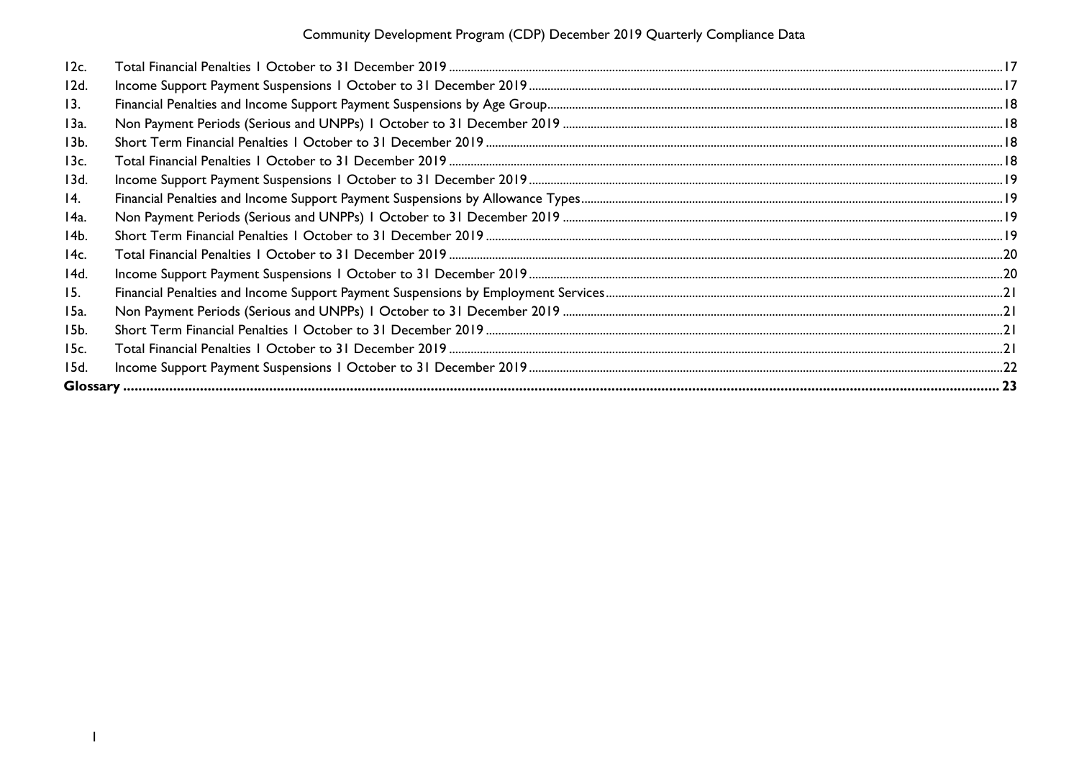| 12c.            |  |
|-----------------|--|
| 12d.            |  |
| 13.             |  |
| 13a.            |  |
| 13 <sub>b</sub> |  |
| 13c.            |  |
| 13d.            |  |
| 14.             |  |
| 14a.            |  |
| 14b.            |  |
| 14c.            |  |
| 14d.            |  |
| 15.             |  |
| 15a.            |  |
| 15b.            |  |
| 15c.            |  |
| 15d.            |  |
|                 |  |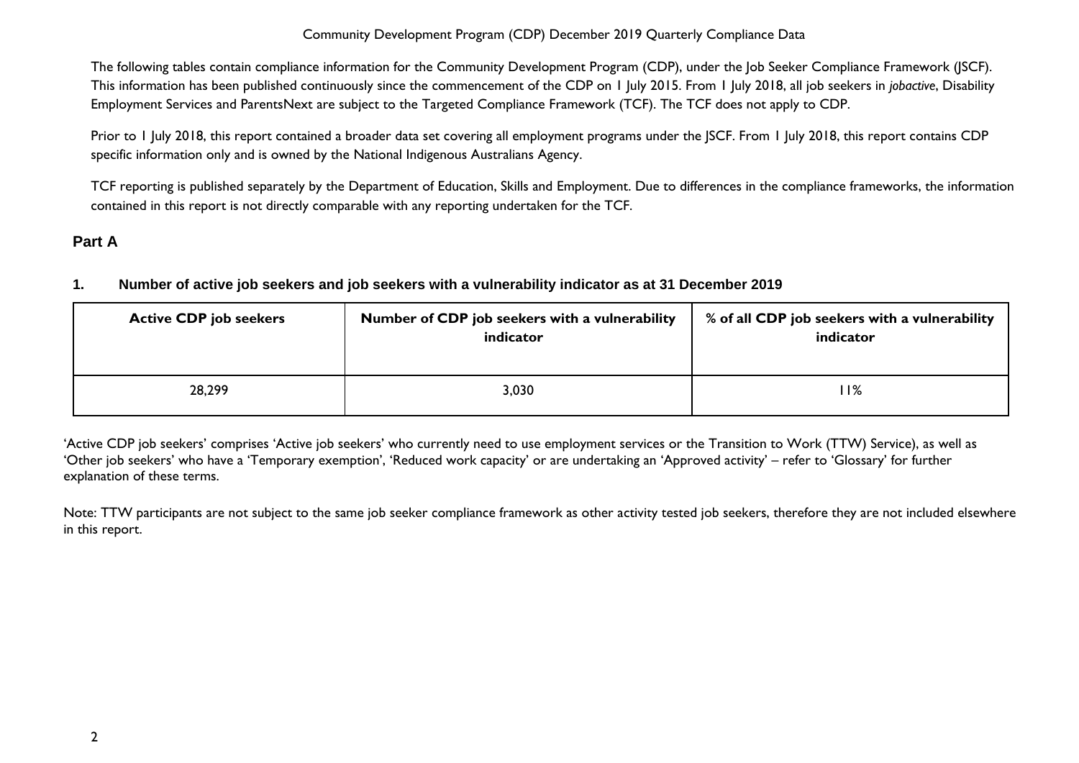The following tables contain compliance information for the Community Development Program (CDP), under the Job Seeker Compliance Framework (JSCF). This information has been published continuously since the commencement of the CDP on 1 July 2015. From 1 July 2018, all job seekers in *jobactive*, Disability Employment Services and ParentsNext are subject to the Targeted Compliance Framework (TCF). The TCF does not apply to CDP.

Prior to 1 July 2018, this report contained a broader data set covering all employment programs under the JSCF. From 1 July 2018, this report contains CDP specific information only and is owned by the National Indigenous Australians Agency.

TCF reporting is published separately by the Department of Education, Skills and Employment. Due to differences in the compliance frameworks, the information contained in this report is not directly comparable with any reporting undertaken for the TCF.

# <span id="page-2-1"></span><span id="page-2-0"></span>**Part A**

## **1. Number of active job seekers and job seekers with a vulnerability indicator as at 31 December 2019**

| <b>Active CDP job seekers</b> | Number of CDP job seekers with a vulnerability<br>indicator | % of all CDP job seekers with a vulnerability<br>indicator |
|-------------------------------|-------------------------------------------------------------|------------------------------------------------------------|
| 28,299                        | 3,030                                                       | 11%                                                        |

'Active CDP job seekers' comprises 'Active job seekers' who currently need to use employment services or the Transition to Work (TTW) Service), as well as 'Other job seekers' who have a 'Temporary exemption', 'Reduced work capacity' or are undertaking an 'Approved activity' – refer to 'Glossary' for further explanation of these terms.

Note: TTW participants are not subject to the same job seeker compliance framework as other activity tested job seekers, therefore they are not included elsewhere in this report.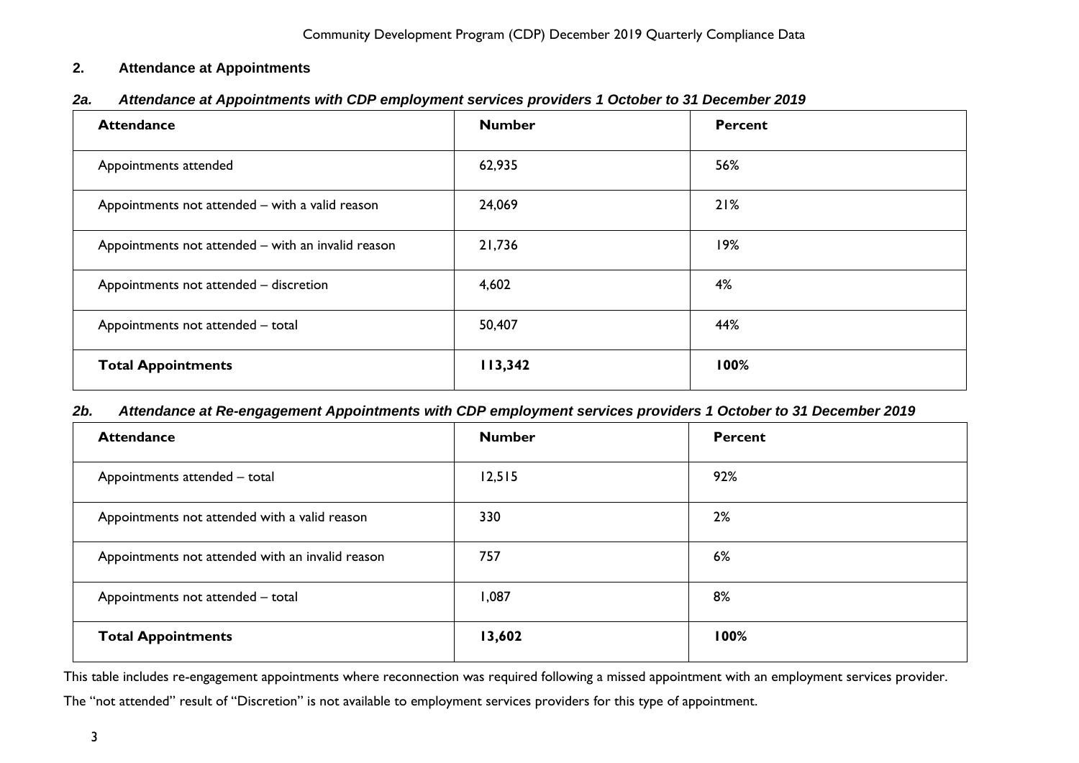#### <span id="page-3-0"></span>**2. Attendance at Appointments**

<span id="page-3-1"></span>

| 2a. | Attendance at Appointments with CDP employment services providers 1 October to 31 December 2019 |  |  |  |
|-----|-------------------------------------------------------------------------------------------------|--|--|--|
|-----|-------------------------------------------------------------------------------------------------|--|--|--|

| <b>Attendance</b>                                  | <b>Number</b> | Percent |
|----------------------------------------------------|---------------|---------|
| Appointments attended                              | 62,935        | 56%     |
| Appointments not attended - with a valid reason    | 24,069        | 21%     |
| Appointments not attended - with an invalid reason | 21,736        | 19%     |
| Appointments not attended - discretion             | 4,602         | 4%      |
| Appointments not attended - total                  | 50,407        | 44%     |
| <b>Total Appointments</b>                          | 113,342       | 100%    |

#### <span id="page-3-2"></span>*2b. Attendance at Re-engagement Appointments with CDP employment services providers 1 October to 31 December 2019*

| <b>Attendance</b>                                | <b>Number</b> | <b>Percent</b> |
|--------------------------------------------------|---------------|----------------|
| Appointments attended - total                    | 12,515        | 92%            |
| Appointments not attended with a valid reason    | 330           | 2%             |
| Appointments not attended with an invalid reason | 757           | 6%             |
| Appointments not attended - total                | 1,087         | 8%             |
| <b>Total Appointments</b>                        | 13,602        | 100%           |

This table includes re-engagement appointments where reconnection was required following a missed appointment with an employment services provider.

The "not attended" result of "Discretion" is not available to employment services providers for this type of appointment.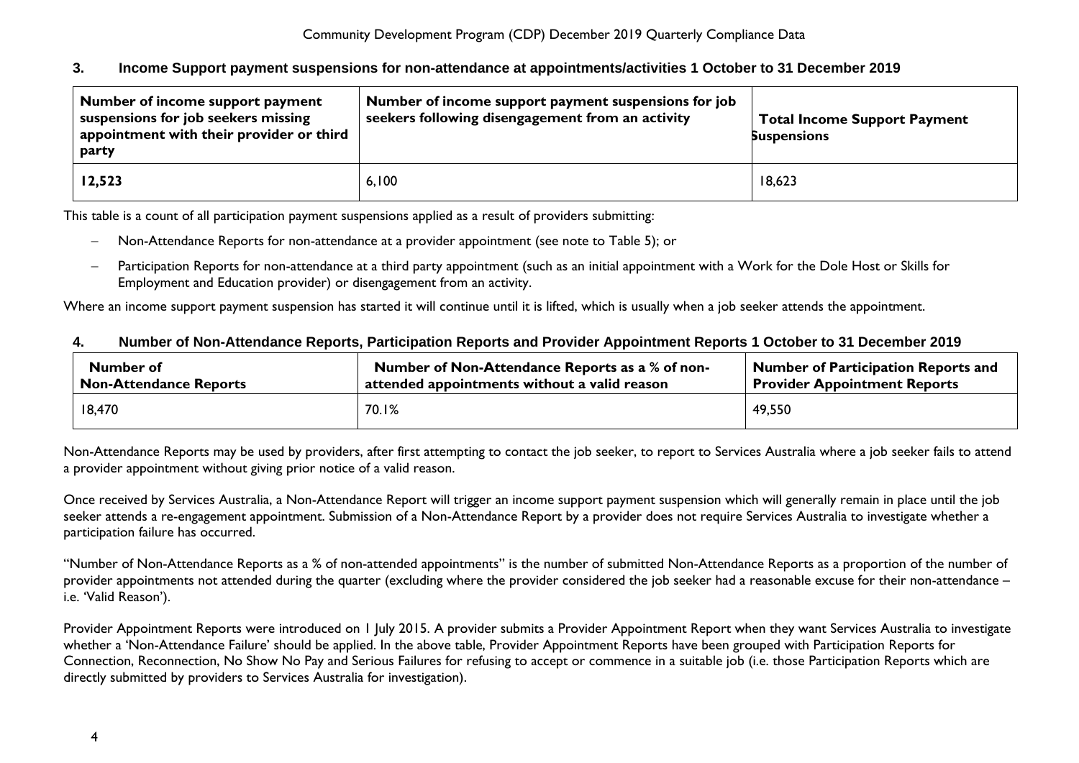#### <span id="page-4-0"></span>**3. Income Support payment suspensions for non-attendance at appointments/activities 1 October to 31 December 2019**

| Number of income support payment<br>suspensions for job seekers missing<br>appointment with their provider or third<br>party | Number of income support payment suspensions for job<br>seekers following disengagement from an activity | <b>Total Income Support Payment</b><br><b>Suspensions</b> |
|------------------------------------------------------------------------------------------------------------------------------|----------------------------------------------------------------------------------------------------------|-----------------------------------------------------------|
| 12,523                                                                                                                       | 6,100                                                                                                    | 18,623                                                    |

This table is a count of all participation payment suspensions applied as a result of providers submitting:

- Non-Attendance Reports for non-attendance at a provider appointment (see note to Table 5); or
- Participation Reports for non-attendance at a third party appointment (such as an initial appointment with a Work for the Dole Host or Skills for Employment and Education provider) or disengagement from an activity.

Where an income support payment suspension has started it will continue until it is lifted, which is usually when a job seeker attends the appointment.

#### <span id="page-4-1"></span>**4. Number of Non-Attendance Reports, Participation Reports and Provider Appointment Reports 1 October to 31 December 2019**

| Number of                     | Number of Non-Attendance Reports as a % of non- | Number of Participation Reports and |
|-------------------------------|-------------------------------------------------|-------------------------------------|
| <b>Non-Attendance Reports</b> | attended appointments without a valid reason    | <b>Provider Appointment Reports</b> |
| 18,470                        | 70.1%                                           | 49,550                              |

Non-Attendance Reports may be used by providers, after first attempting to contact the job seeker, to report to Services Australia where a job seeker fails to attend a provider appointment without giving prior notice of a valid reason.

Once received by Services Australia, a Non-Attendance Report will trigger an income support payment suspension which will generally remain in place until the job seeker attends a re-engagement appointment. Submission of a Non-Attendance Report by a provider does not require Services Australia to investigate whether a participation failure has occurred.

"Number of Non-Attendance Reports as a % of non-attended appointments" is the number of submitted Non-Attendance Reports as a proportion of the number of provider appointments not attended during the quarter (excluding where the provider considered the job seeker had a reasonable excuse for their non-attendance – i.e. 'Valid Reason').

Provider Appointment Reports were introduced on 1 July 2015. A provider submits a Provider Appointment Report when they want Services Australia to investigate whether a 'Non-Attendance Failure' should be applied. In the above table, Provider Appointment Reports have been grouped with Participation Reports for Connection, Reconnection, No Show No Pay and Serious Failures for refusing to accept or commence in a suitable job (i.e. those Participation Reports which are directly submitted by providers to Services Australia for investigation).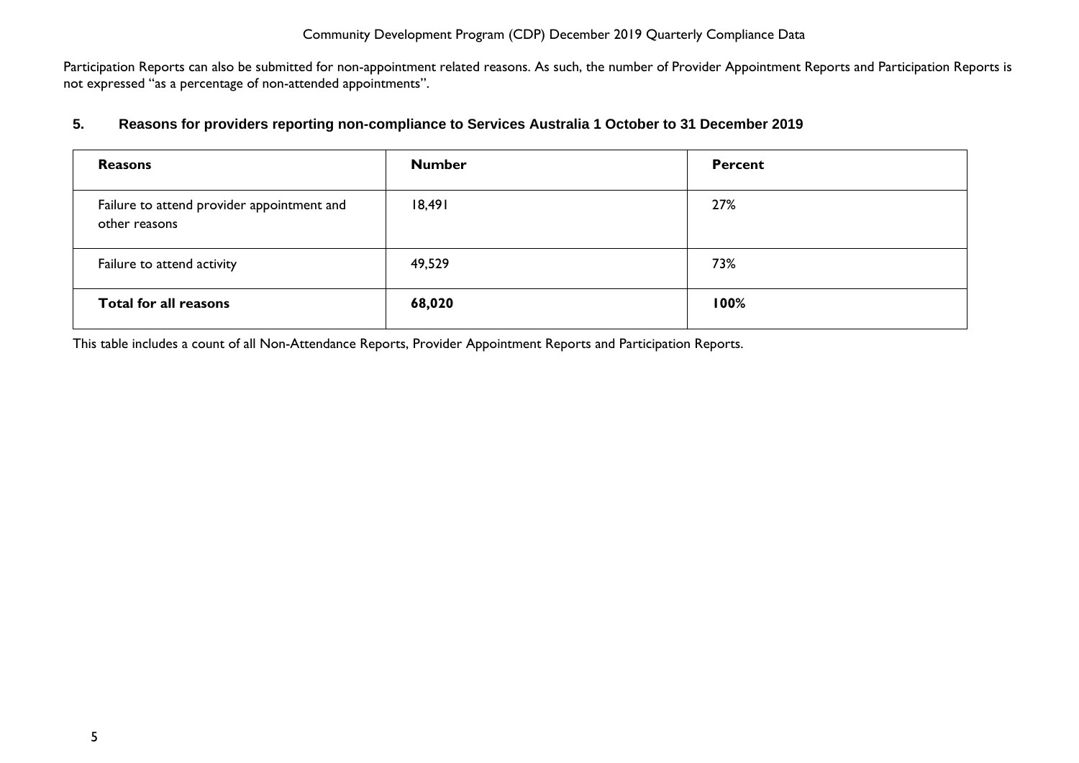Participation Reports can also be submitted for non-appointment related reasons. As such, the number of Provider Appointment Reports and Participation Reports is not expressed "as a percentage of non-attended appointments".

#### <span id="page-5-0"></span>**5. Reasons for providers reporting non-compliance to Services Australia 1 October to 31 December 2019**

| <b>Reasons</b>                                              | <b>Number</b> | Percent |
|-------------------------------------------------------------|---------------|---------|
| Failure to attend provider appointment and<br>other reasons | 18,491        | 27%     |
| Failure to attend activity                                  | 49,529        | 73%     |
| <b>Total for all reasons</b>                                | 68,020        | 100%    |

This table includes a count of all Non-Attendance Reports, Provider Appointment Reports and Participation Reports.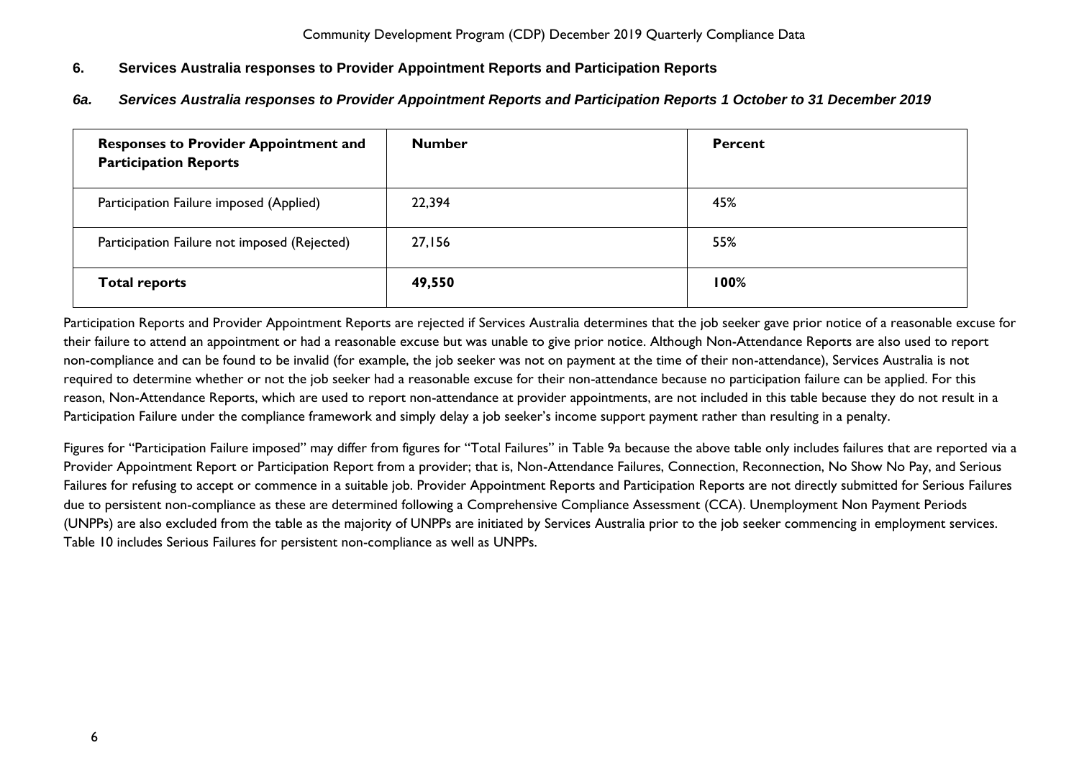## <span id="page-6-0"></span>**6. Services Australia responses to Provider Appointment Reports and Participation Reports**

<span id="page-6-1"></span>*6a. Services Australia responses to Provider Appointment Reports and Participation Reports 1 October to 31 December 2019*

| <b>Responses to Provider Appointment and</b><br><b>Participation Reports</b> | <b>Number</b> | <b>Percent</b> |
|------------------------------------------------------------------------------|---------------|----------------|
| Participation Failure imposed (Applied)                                      | 22,394        | 45%            |
| Participation Failure not imposed (Rejected)                                 | 27,156        | 55%            |
| <b>Total reports</b>                                                         | 49,550        | 100%           |

Participation Reports and Provider Appointment Reports are rejected if Services Australia determines that the job seeker gave prior notice of a reasonable excuse for their failure to attend an appointment or had a reasonable excuse but was unable to give prior notice. Although Non-Attendance Reports are also used to report non-compliance and can be found to be invalid (for example, the job seeker was not on payment at the time of their non-attendance), Services Australia is not required to determine whether or not the job seeker had a reasonable excuse for their non-attendance because no participation failure can be applied. For this reason, Non-Attendance Reports, which are used to report non-attendance at provider appointments, are not included in this table because they do not result in a Participation Failure under the compliance framework and simply delay a job seeker's income support payment rather than resulting in a penalty.

Figures for "Participation Failure imposed" may differ from figures for "Total Failures" in Table 9a because the above table only includes failures that are reported via a Provider Appointment Report or Participation Report from a provider; that is, Non-Attendance Failures, Connection, Reconnection, No Show No Pay, and Serious Failures for refusing to accept or commence in a suitable job. Provider Appointment Reports and Participation Reports are not directly submitted for Serious Failures due to persistent non-compliance as these are determined following a Comprehensive Compliance Assessment (CCA). Unemployment Non Payment Periods (UNPPs) are also excluded from the table as the majority of UNPPs are initiated by Services Australia prior to the job seeker commencing in employment services. Table 10 includes Serious Failures for persistent non-compliance as well as UNPPs.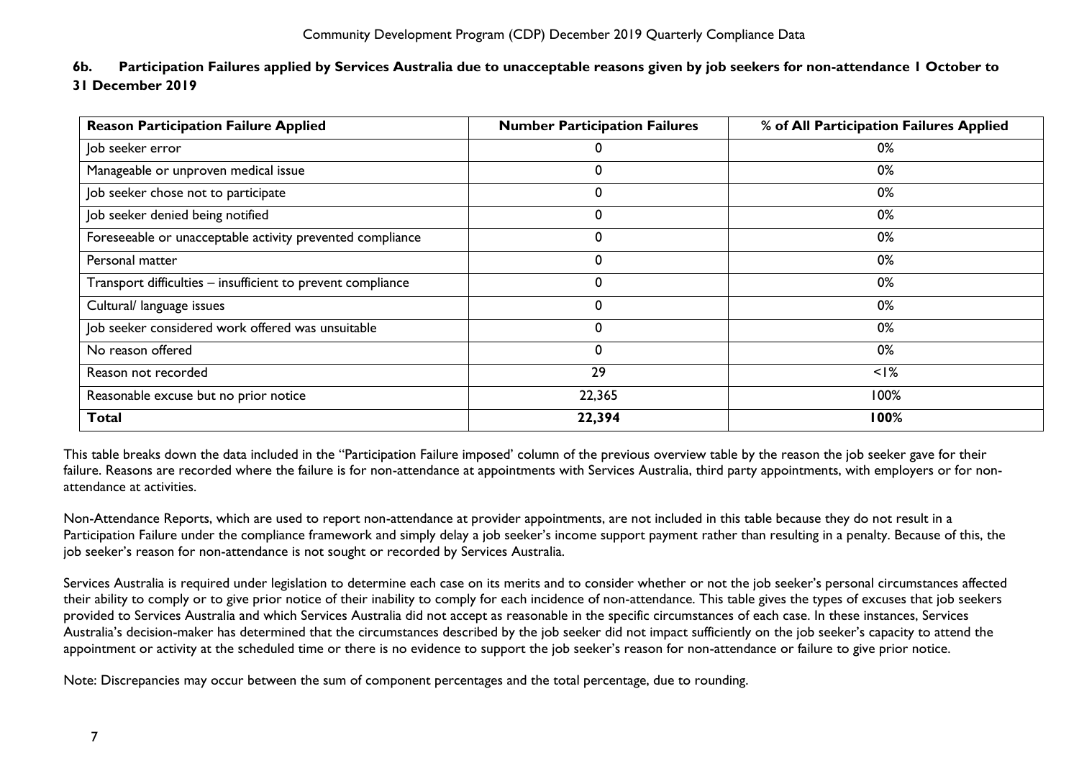<span id="page-7-0"></span>

| 6b. | Participation Failures applied by Services Australia due to unacceptable reasons given by job seekers for non-attendance I October to |
|-----|---------------------------------------------------------------------------------------------------------------------------------------|
|     | 31 December 2019                                                                                                                      |

| <b>Reason Participation Failure Applied</b>                 | <b>Number Participation Failures</b> | % of All Participation Failures Applied |
|-------------------------------------------------------------|--------------------------------------|-----------------------------------------|
| Job seeker error                                            | 0                                    | 0%                                      |
| Manageable or unproven medical issue                        | $\Omega$                             | 0%                                      |
| Job seeker chose not to participate                         | 0                                    | 0%                                      |
| Job seeker denied being notified                            | 0                                    | 0%                                      |
| Foreseeable or unacceptable activity prevented compliance   | 0                                    | 0%                                      |
| Personal matter                                             | $\mathbf 0$                          | 0%                                      |
| Transport difficulties - insufficient to prevent compliance | 0                                    | 0%                                      |
| Cultural/ language issues                                   | $\mathbf 0$                          | 0%                                      |
| Job seeker considered work offered was unsuitable           | $\mathbf 0$                          | 0%                                      |
| No reason offered                                           | 0                                    | 0%                                      |
| Reason not recorded                                         | 29                                   | $<$ I%                                  |
| Reasonable excuse but no prior notice                       | 22,365                               | 100%                                    |
| <b>Total</b>                                                | 22,394                               | 100%                                    |

This table breaks down the data included in the "Participation Failure imposed' column of the previous overview table by the reason the job seeker gave for their failure. Reasons are recorded where the failure is for non-attendance at appointments with Services Australia, third party appointments, with employers or for nonattendance at activities.

Non-Attendance Reports, which are used to report non-attendance at provider appointments, are not included in this table because they do not result in a Participation Failure under the compliance framework and simply delay a job seeker's income support payment rather than resulting in a penalty. Because of this, the job seeker's reason for non-attendance is not sought or recorded by Services Australia.

Services Australia is required under legislation to determine each case on its merits and to consider whether or not the job seeker's personal circumstances affected their ability to comply or to give prior notice of their inability to comply for each incidence of non-attendance. This table gives the types of excuses that job seekers provided to Services Australia and which Services Australia did not accept as reasonable in the specific circumstances of each case. In these instances, Services Australia's decision-maker has determined that the circumstances described by the job seeker did not impact sufficiently on the job seeker's capacity to attend the appointment or activity at the scheduled time or there is no evidence to support the job seeker's reason for non-attendance or failure to give prior notice.

Note: Discrepancies may occur between the sum of component percentages and the total percentage, due to rounding.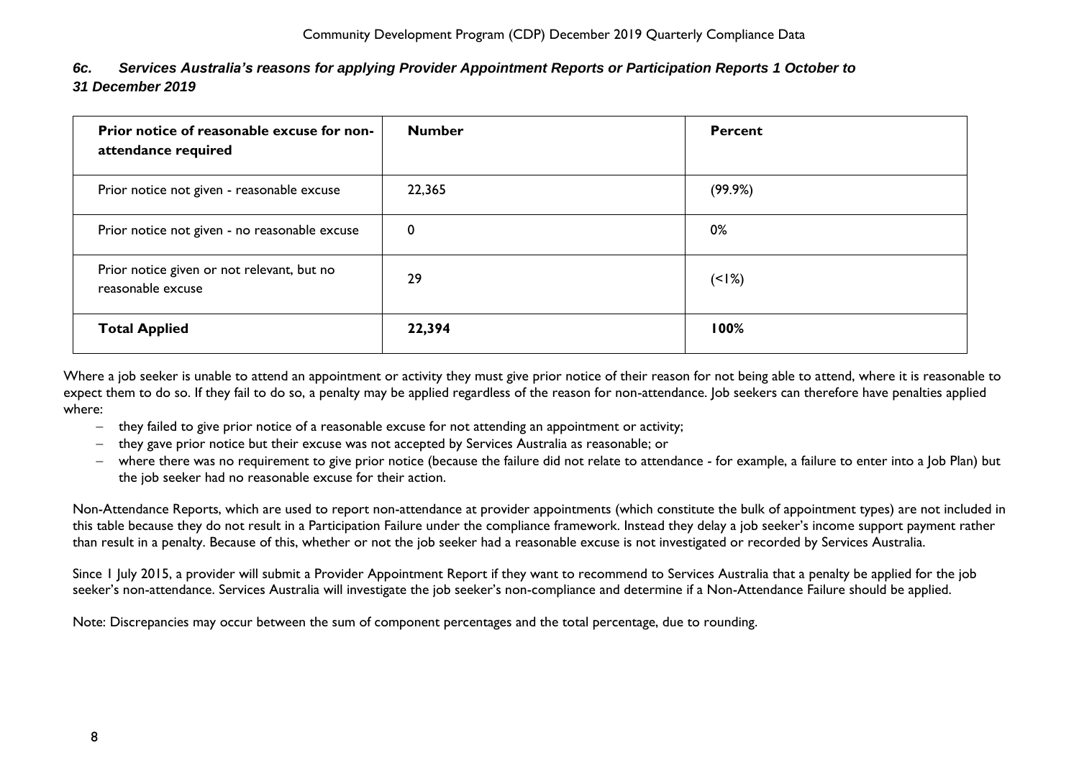<span id="page-8-0"></span>

| 6c. | Services Australia's reasons for applying Provider Appointment Reports or Participation Reports 1 October to |
|-----|--------------------------------------------------------------------------------------------------------------|
|     | 31 December 2019                                                                                             |

| Prior notice of reasonable excuse for non-<br>attendance required | <b>Number</b> | <b>Percent</b> |
|-------------------------------------------------------------------|---------------|----------------|
| Prior notice not given - reasonable excuse                        | 22,365        | (99.9%)        |
| Prior notice not given - no reasonable excuse                     | 0             | 0%             |
| Prior notice given or not relevant, but no<br>reasonable excuse   | 29            | $(1\%)$        |
| <b>Total Applied</b>                                              | 22,394        | 100%           |

Where a job seeker is unable to attend an appointment or activity they must give prior notice of their reason for not being able to attend, where it is reasonable to expect them to do so. If they fail to do so, a penalty may be applied regardless of the reason for non-attendance. Job seekers can therefore have penalties applied where:

- they failed to give prior notice of a reasonable excuse for not attending an appointment or activity;
- $-$  they gave prior notice but their excuse was not accepted by Services Australia as reasonable; or
- where there was no requirement to give prior notice (because the failure did not relate to attendance for example, a failure to enter into a Job Plan) but the job seeker had no reasonable excuse for their action.

Non-Attendance Reports, which are used to report non-attendance at provider appointments (which constitute the bulk of appointment types) are not included in this table because they do not result in a Participation Failure under the compliance framework. Instead they delay a job seeker's income support payment rather than result in a penalty. Because of this, whether or not the job seeker had a reasonable excuse is not investigated or recorded by Services Australia.

Since 1 July 2015, a provider will submit a Provider Appointment Report if they want to recommend to Services Australia that a penalty be applied for the job seeker's non-attendance. Services Australia will investigate the job seeker's non-compliance and determine if a Non-Attendance Failure should be applied.

Note: Discrepancies may occur between the sum of component percentages and the total percentage, due to rounding.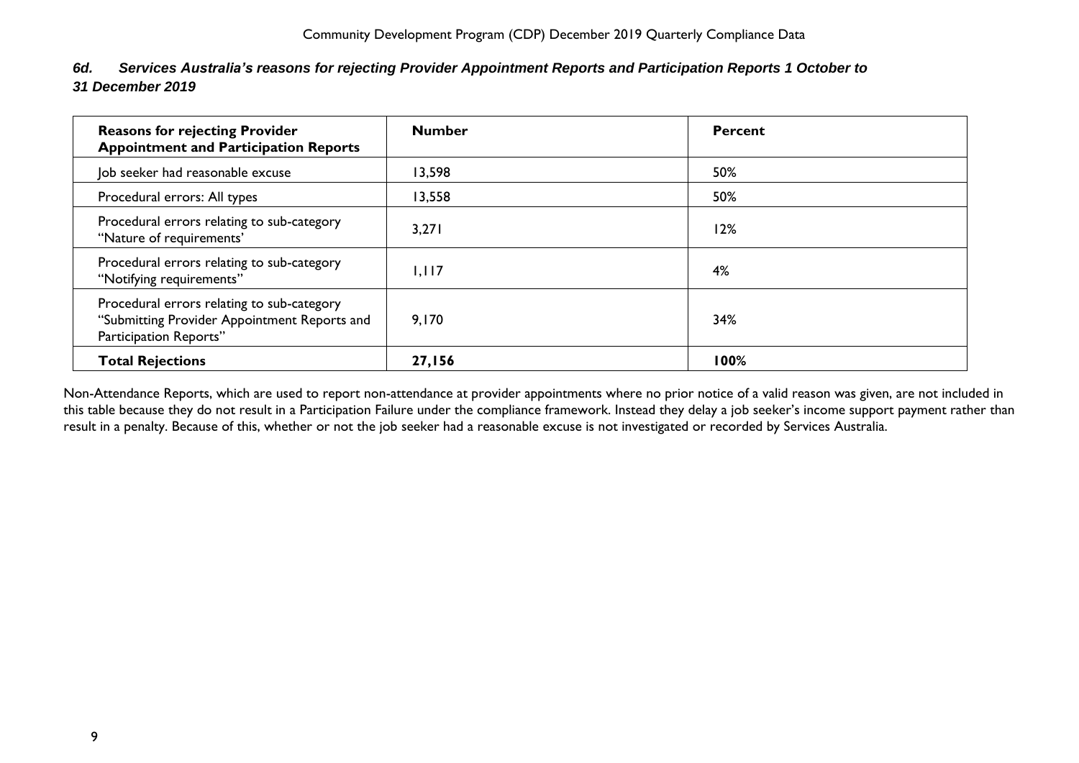<span id="page-9-0"></span>

| 6d. Services Australia's reasons for rejecting Provider Appointment Reports and Participation Reports 1 October to |
|--------------------------------------------------------------------------------------------------------------------|
| 31 December 2019                                                                                                   |

| <b>Reasons for rejecting Provider</b><br><b>Appointment and Participation Reports</b>                                | <b>Number</b> | <b>Percent</b> |
|----------------------------------------------------------------------------------------------------------------------|---------------|----------------|
| Job seeker had reasonable excuse                                                                                     | 13,598        | 50%            |
| Procedural errors: All types                                                                                         | 13,558        | 50%            |
| Procedural errors relating to sub-category<br>"Nature of requirements"                                               | 3,271         | 12%            |
| Procedural errors relating to sub-category<br>"Notifying requirements"                                               | 1.117         | 4%             |
| Procedural errors relating to sub-category<br>"Submitting Provider Appointment Reports and<br>Participation Reports" | 9,170         | 34%            |
| <b>Total Rejections</b>                                                                                              | <b>27,156</b> | 100%           |

Non-Attendance Reports, which are used to report non-attendance at provider appointments where no prior notice of a valid reason was given, are not included in this table because they do not result in a Participation Failure under the compliance framework. Instead they delay a job seeker's income support payment rather than result in a penalty. Because of this, whether or not the job seeker had a reasonable excuse is not investigated or recorded by Services Australia.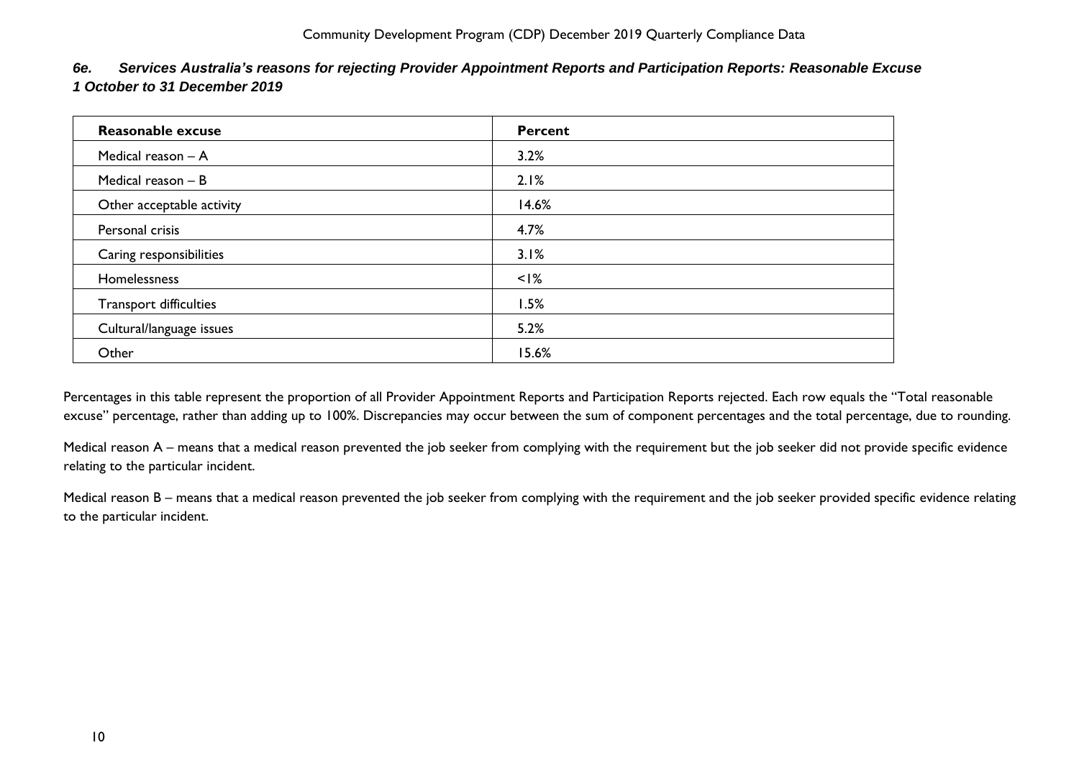| Reasonable excuse         | <b>Percent</b> |
|---------------------------|----------------|
| Medical reason - A        | 3.2%           |
| Medical reason - B        | 2.1%           |
| Other acceptable activity | 14.6%          |
| Personal crisis           | 4.7%           |
| Caring responsibilities   | 3.1%           |
| Homelessness              | $<$ I%         |
| Transport difficulties    | 1.5%           |
| Cultural/language issues  | 5.2%           |
| Other                     | 15.6%          |

<span id="page-10-0"></span>*6e. Services Australia's reasons for rejecting Provider Appointment Reports and Participation Reports: Reasonable Excuse 1 October to 31 December 2019*

Percentages in this table represent the proportion of all Provider Appointment Reports and Participation Reports rejected. Each row equals the "Total reasonable excuse" percentage, rather than adding up to 100%. Discrepancies may occur between the sum of component percentages and the total percentage, due to rounding.

Medical reason A – means that a medical reason prevented the job seeker from complying with the requirement but the job seeker did not provide specific evidence relating to the particular incident.

Medical reason B – means that a medical reason prevented the job seeker from complying with the requirement and the job seeker provided specific evidence relating to the particular incident.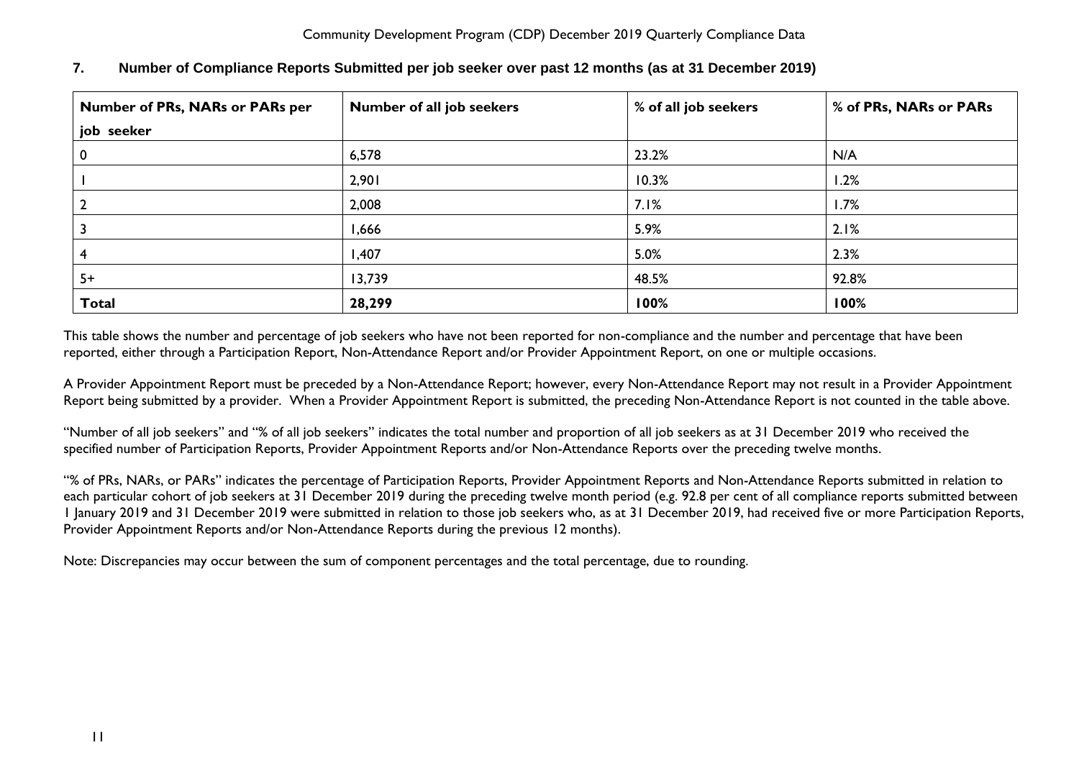| Number of PRs, NARs or PARs per<br>Number of all job seekers |        | % of all job seekers | % of PRs, NARs or PARs |
|--------------------------------------------------------------|--------|----------------------|------------------------|
| job seeker                                                   |        |                      |                        |
| <b>U</b>                                                     | 6,578  | 23.2%                | N/A                    |
|                                                              | 2,901  | 10.3%                | 1.2%                   |
|                                                              | 2,008  | 7.1%                 | 1.7%                   |
|                                                              | 1,666  | 5.9%                 | 2.1%                   |
|                                                              | 1,407  | 5.0%                 | 2.3%                   |
| $5+$                                                         | 13,739 | 48.5%                | 92.8%                  |
| <b>Total</b>                                                 | 28,299 | 100%                 | 100%                   |

## <span id="page-11-0"></span>**7. Number of Compliance Reports Submitted per job seeker over past 12 months (as at 31 December 2019)**

This table shows the number and percentage of job seekers who have not been reported for non-compliance and the number and percentage that have been reported, either through a Participation Report, Non-Attendance Report and/or Provider Appointment Report, on one or multiple occasions.

A Provider Appointment Report must be preceded by a Non-Attendance Report; however, every Non-Attendance Report may not result in a Provider Appointment Report being submitted by a provider. When a Provider Appointment Report is submitted, the preceding Non-Attendance Report is not counted in the table above.

"Number of all job seekers" and "% of all job seekers" indicates the total number and proportion of all job seekers as at 31 December 2019 who received the specified number of Participation Reports, Provider Appointment Reports and/or Non-Attendance Reports over the preceding twelve months.

"% of PRs, NARs, or PARs" indicates the percentage of Participation Reports, Provider Appointment Reports and Non-Attendance Reports submitted in relation to each particular cohort of job seekers at 31 December 2019 during the preceding twelve month period (e.g. 92.8 per cent of all compliance reports submitted between 1 January 2019 and 31 December 2019 were submitted in relation to those job seekers who, as at 31 December 2019, had received five or more Participation Reports, Provider Appointment Reports and/or Non-Attendance Reports during the previous 12 months).

Note: Discrepancies may occur between the sum of component percentages and the total percentage, due to rounding.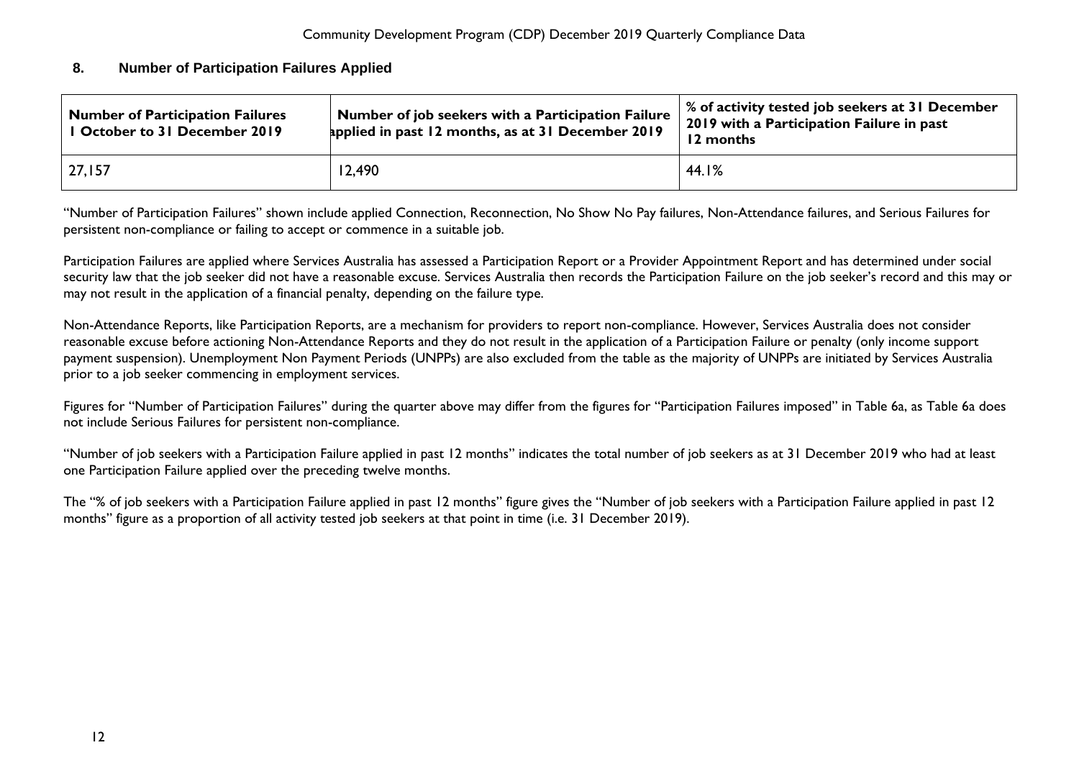#### <span id="page-12-0"></span>**8. Number of Participation Failures Applied**

| Number of job seekers with a Participation Failure<br><b>Number of Participation Failures</b><br>I October to 31 December 2019<br>applied in past 12 months, as at 31 December 2019 |        | % of activity tested job seekers at 31 December<br>2019 with a Participation Failure in past<br>12 months |  |
|-------------------------------------------------------------------------------------------------------------------------------------------------------------------------------------|--------|-----------------------------------------------------------------------------------------------------------|--|
| 27,157                                                                                                                                                                              | 12,490 | 44.1%                                                                                                     |  |

"Number of Participation Failures" shown include applied Connection, Reconnection, No Show No Pay failures, Non-Attendance failures, and Serious Failures for persistent non-compliance or failing to accept or commence in a suitable job.

Participation Failures are applied where Services Australia has assessed a Participation Report or a Provider Appointment Report and has determined under social security law that the job seeker did not have a reasonable excuse. Services Australia then records the Participation Failure on the job seeker's record and this may or may not result in the application of a financial penalty, depending on the failure type.

Non-Attendance Reports, like Participation Reports, are a mechanism for providers to report non-compliance. However, Services Australia does not consider reasonable excuse before actioning Non-Attendance Reports and they do not result in the application of a Participation Failure or penalty (only income support payment suspension). Unemployment Non Payment Periods (UNPPs) are also excluded from the table as the majority of UNPPs are initiated by Services Australia prior to a job seeker commencing in employment services.

Figures for "Number of Participation Failures" during the quarter above may differ from the figures for "Participation Failures imposed" in Table 6a, as Table 6a does not include Serious Failures for persistent non-compliance.

"Number of job seekers with a Participation Failure applied in past 12 months" indicates the total number of job seekers as at 31 December 2019 who had at least one Participation Failure applied over the preceding twelve months.

The "% of job seekers with a Participation Failure applied in past 12 months" figure gives the "Number of job seekers with a Participation Failure applied in past 12 months" figure as a proportion of all activity tested job seekers at that point in time (i.e. 31 December 2019).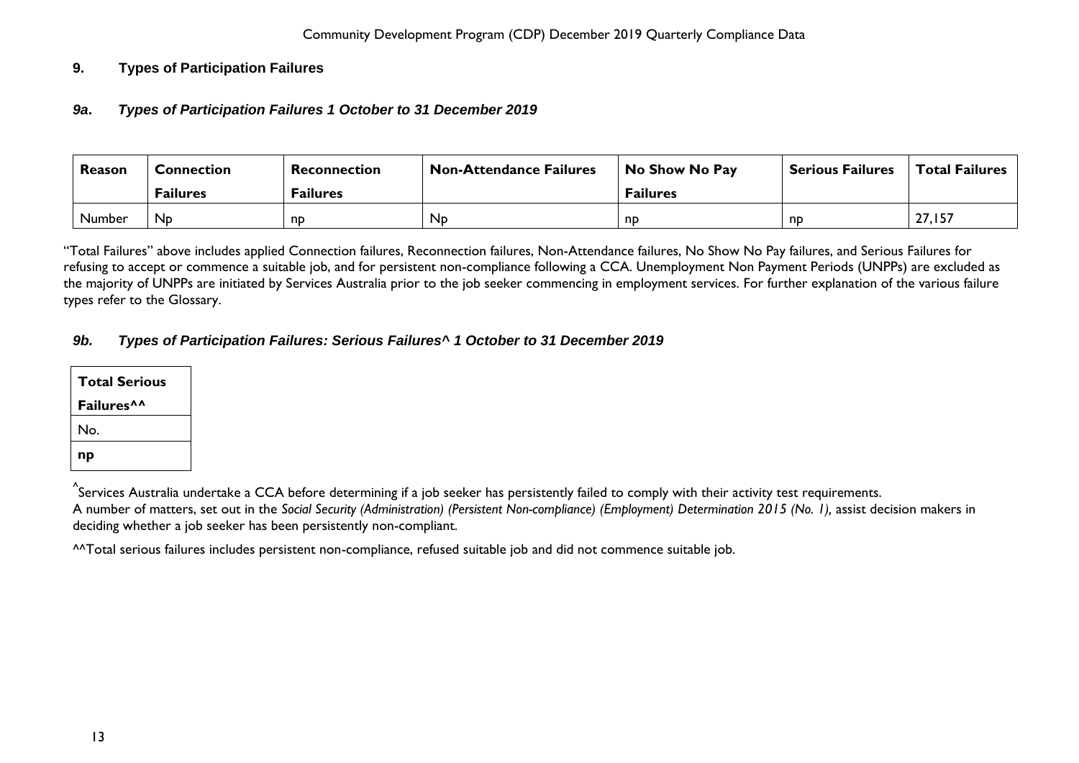## <span id="page-13-1"></span><span id="page-13-0"></span>**9. Types of Participation Failures**

#### *9a***.** *Types of Participation Failures 1 October to 31 December 2019*

| Reason | Connection      | Reconnection    | <b>Non-Attendance Failures</b> | No Show No Pay  | <b>Serious Failures</b> | <b>Total Failures</b> |
|--------|-----------------|-----------------|--------------------------------|-----------------|-------------------------|-----------------------|
|        | <b>Failures</b> | <b>Failures</b> |                                | <b>Failures</b> |                         |                       |
| Number | Np.             | np              | N <sub>D</sub>                 | np              | nd                      | 27,157                |

"Total Failures" above includes applied Connection failures, Reconnection failures, Non-Attendance failures, No Show No Pay failures, and Serious Failures for refusing to accept or commence a suitable job, and for persistent non-compliance following a CCA. Unemployment Non Payment Periods (UNPPs) are excluded as the majority of UNPPs are initiated by Services Australia prior to the job seeker commencing in employment services. For further explanation of the various failure types refer to the Glossary.

#### <span id="page-13-2"></span>*9b. Types of Participation Failures: Serious Failures^ 1 October to 31 December 2019*

| <b>Total Serious</b>          |  |  |  |
|-------------------------------|--|--|--|
| <b>Failures</b> <sup>^^</sup> |  |  |  |
| No.                           |  |  |  |
| np                            |  |  |  |

 $^\wedge$ Services Australia undertake a CCA before determining if a job seeker has persistently failed to comply with their activity test requirements. A number of matters, set out in the *Social Security (Administration) (Persistent Non-compliance) (Employment) Determination 2015 (No. 1),* assist decision makers in deciding whether a job seeker has been persistently non-compliant.

^^Total serious failures includes persistent non-compliance, refused suitable job and did not commence suitable job.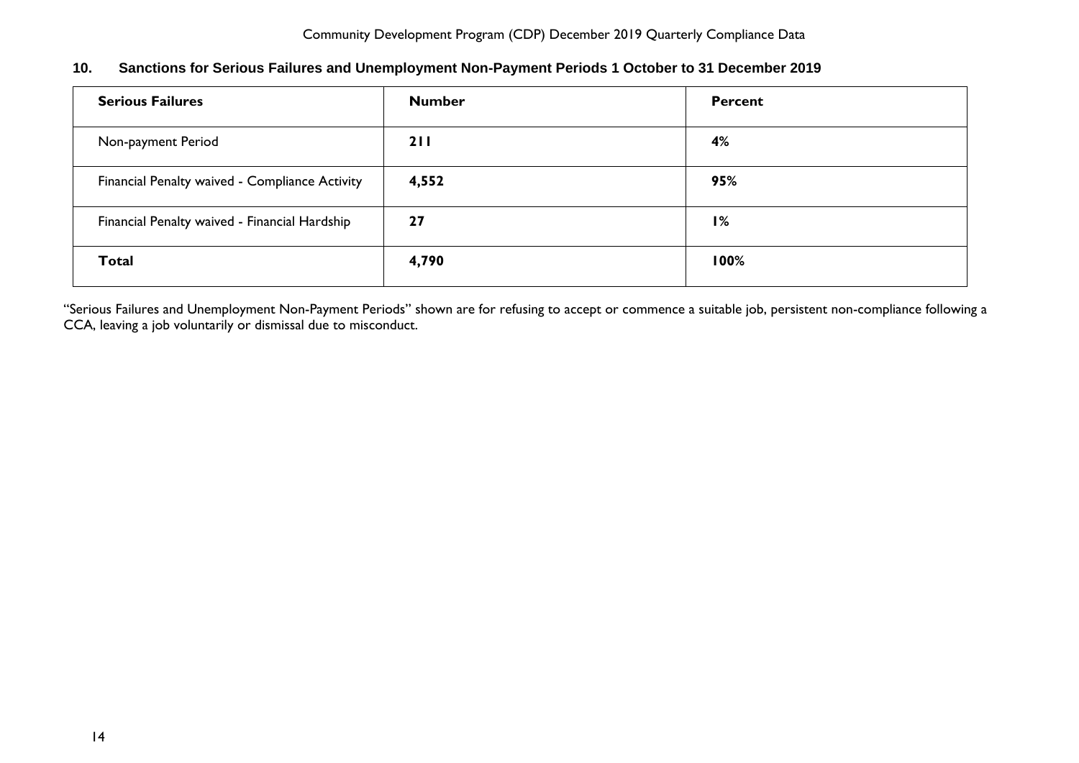| <b>Serious Failures</b>                        | <b>Number</b> | Percent |
|------------------------------------------------|---------------|---------|
| Non-payment Period                             | 211           | 4%      |
| Financial Penalty waived - Compliance Activity | 4,552         | 95%     |
| Financial Penalty waived - Financial Hardship  | 27            | 1%      |
| <b>Total</b>                                   | 4,790         | 100%    |

# <span id="page-14-0"></span>**10. Sanctions for Serious Failures and Unemployment Non-Payment Periods 1 October to 31 December 2019**

"Serious Failures and Unemployment Non-Payment Periods" shown are for refusing to accept or commence a suitable job, persistent non-compliance following a CCA, leaving a job voluntarily or dismissal due to misconduct.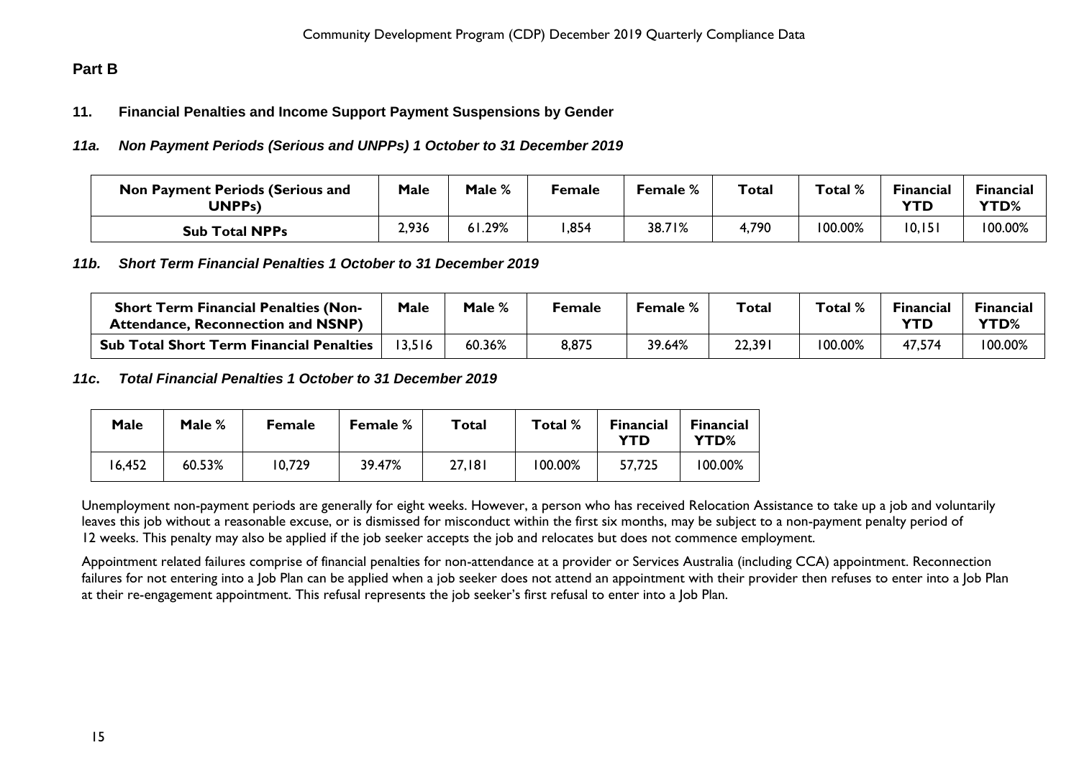# <span id="page-15-1"></span><span id="page-15-0"></span>**Part B**

## **11. Financial Penalties and Income Support Payment Suspensions by Gender**

#### <span id="page-15-2"></span>*11a. Non Payment Periods (Serious and UNPPs) 1 October to 31 December 2019*

| <b>Non Payment Periods (Serious and</b><br><b>UNPPs)</b> | Male  | Male % | Female | <b>Female</b> % | Total | Total % | <b>Financial</b><br>YTD | <b>Financial</b><br><b>YTD%</b> |
|----------------------------------------------------------|-------|--------|--------|-----------------|-------|---------|-------------------------|---------------------------------|
| <b>Sub Total NPPs</b>                                    | 2,936 | 61.29% | ,854   | 38.71%          | 4,790 | 100.00% | 10, 151                 | 100.00%                         |

#### <span id="page-15-3"></span>*11b. Short Term Financial Penalties 1 October to 31 December 2019*

| <b>Short Term Financial Penalties (Non-</b><br><b>Attendance, Reconnection and NSNP)</b> | Male  | Male % | Female | <b>Female</b> % | Total  | Total % | Financial<br>YTD | <b>Financial</b><br><b>YTD%</b> |
|------------------------------------------------------------------------------------------|-------|--------|--------|-----------------|--------|---------|------------------|---------------------------------|
| <b>Sub Total Short Term Financial Penalties</b>                                          | 3,516 | 60.36% | 8,875  | 39.64%          | 22,391 | 100.00% | 47,574           | 100.00%                         |

#### <span id="page-15-4"></span>*11c***.** *Total Financial Penalties 1 October to 31 December 2019*

| Male   | Male % | <b>Female</b> | Female % | Total  | Total % | <b>Financial</b><br>YTD | <b>Financial</b><br>YTD% |
|--------|--------|---------------|----------|--------|---------|-------------------------|--------------------------|
| 16,452 | 60.53% | 10,729        | 39.47%   | 27,181 | 100.00% | 57,725                  | 100.00%                  |

Unemployment non-payment periods are generally for eight weeks. However, a person who has received Relocation Assistance to take up a job and voluntarily leaves this job without a reasonable excuse, or is dismissed for misconduct within the first six months, may be subject to a non-payment penalty period of 12 weeks. This penalty may also be applied if the job seeker accepts the job and relocates but does not commence employment.

Appointment related failures comprise of financial penalties for non-attendance at a provider or Services Australia (including CCA) appointment. Reconnection failures for not entering into a Job Plan can be applied when a job seeker does not attend an appointment with their provider then refuses to enter into a Job Plan at their re-engagement appointment. This refusal represents the job seeker's first refusal to enter into a Job Plan.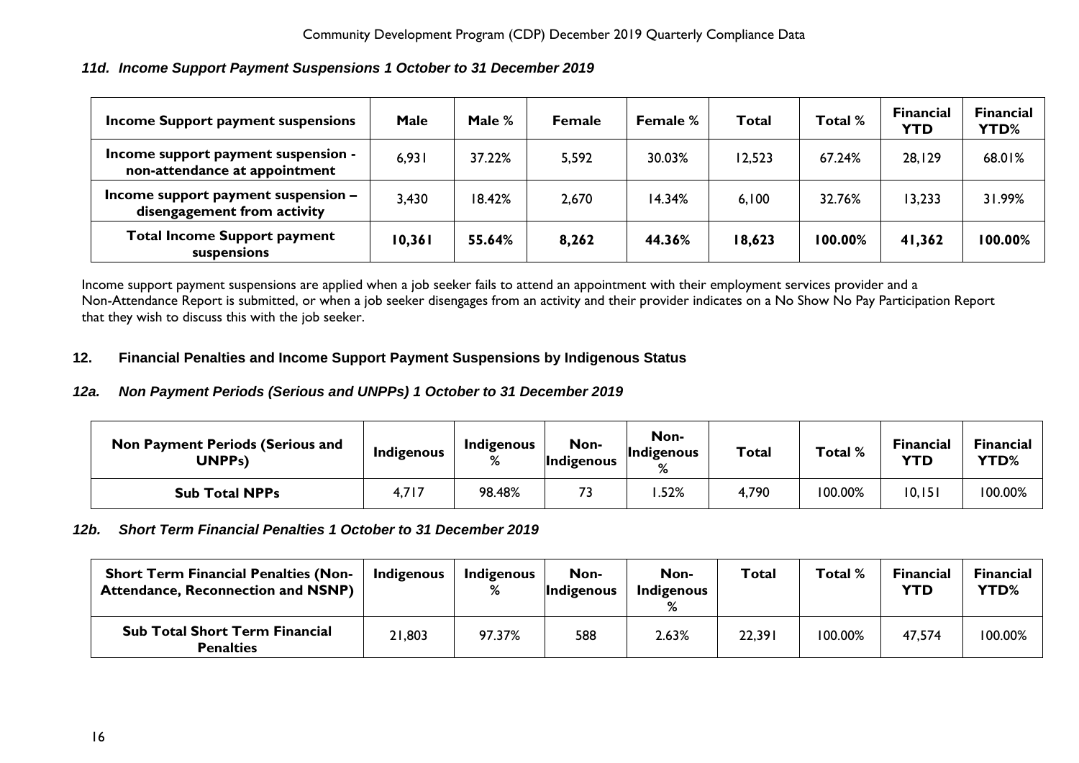## <span id="page-16-0"></span>*11d. Income Support Payment Suspensions 1 October to 31 December 2019*

| Income Support payment suspensions                                   | <b>Male</b> | Male % | <b>Female</b> | <b>Female</b> % | Total  | Total % | <b>Financial</b><br><b>YTD</b> | <b>Financial</b><br><b>YTD%</b> |
|----------------------------------------------------------------------|-------------|--------|---------------|-----------------|--------|---------|--------------------------------|---------------------------------|
| Income support payment suspension -<br>non-attendance at appointment | 6,931       | 37.22% | 5,592         | 30.03%          | 12,523 | 67.24%  | 28,129                         | 68.01%                          |
| Income support payment suspension -<br>disengagement from activity   | 3,430       | 18.42% | 2,670         | 14.34%          | 6,100  | 32.76%  | 13,233                         | 31.99%                          |
| <b>Total Income Support payment</b><br>suspensions                   | 10,361      | 55.64% | 8,262         | 44.36%          | 18,623 | 100.00% | 41,362                         | 100.00%                         |

Income support payment suspensions are applied when a job seeker fails to attend an appointment with their employment services provider and a Non-Attendance Report is submitted, or when a job seeker disengages from an activity and their provider indicates on a No Show No Pay Participation Report that they wish to discuss this with the job seeker.

## <span id="page-16-1"></span>**12. Financial Penalties and Income Support Payment Suspensions by Indigenous Status**

## <span id="page-16-2"></span>*12a. Non Payment Periods (Serious and UNPPs) 1 October to 31 December 2019*

| <b>Non Payment Periods (Serious and</b><br>UNPPs) | Indigenous | Indigenous<br>% | Non-<br>Indigenous | Non-<br><b>Indigenous</b><br>% | <b>Total</b> | Total % | <b>Financial</b><br>YTD | Financial<br><b>YTD%</b> |
|---------------------------------------------------|------------|-----------------|--------------------|--------------------------------|--------------|---------|-------------------------|--------------------------|
| <b>Sub Total NPPs</b>                             | 4,717      | 98.48%          |                    | .52%                           | 4,790        | 100.00% | 10, 151                 | 100.00%                  |

#### <span id="page-16-3"></span>*12b. Short Term Financial Penalties 1 October to 31 December 2019*

| <b>Short Term Financial Penalties (Non-</b><br><b>Attendance, Reconnection and NSNP)</b> | Indigenous | Indigenous<br>% | Non-<br>Indigenous | Non-<br>Indigenous | <b>Total</b> | Total % | <b>Financial</b><br><b>YTD</b> | <b>Financial</b><br><b>YTD%</b> |
|------------------------------------------------------------------------------------------|------------|-----------------|--------------------|--------------------|--------------|---------|--------------------------------|---------------------------------|
| <b>Sub Total Short Term Financial</b><br><b>Penalties</b>                                | 21,803     | 97.37%          | 588                | 2.63%              | 22,391       | 100.00% | 47,574                         | 100.00%                         |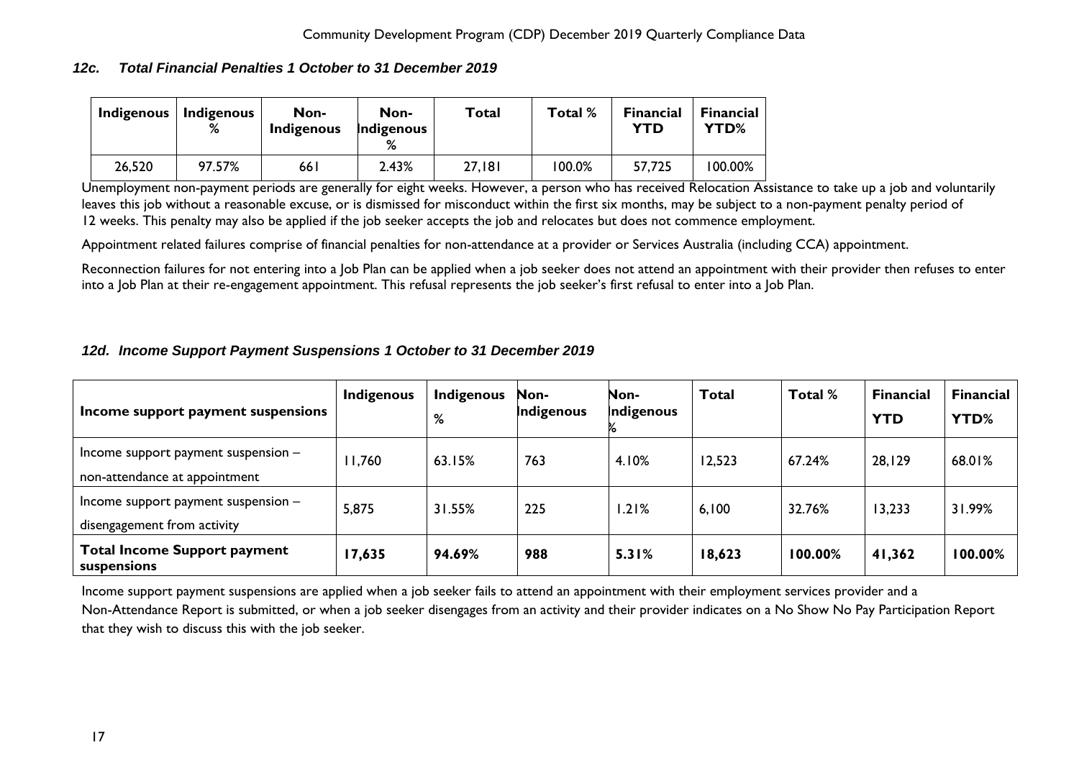## <span id="page-17-0"></span>*12c. Total Financial Penalties 1 October to 31 December 2019*

| Indigenous | <b>Indigenous</b><br>% | Non-<br><b>Indigenous</b> | Non-<br>Indigenous<br>% | <b>Total</b> | Total % | <b>Financial</b><br>YTD | <b>Financial</b><br>YTD% |
|------------|------------------------|---------------------------|-------------------------|--------------|---------|-------------------------|--------------------------|
| 26,520     | 97.57%                 | 66 I                      | 2.43%                   | 27,181       | 100.0%  | 57,725                  | 100.00%                  |

Unemployment non-payment periods are generally for eight weeks. However, a person who has received Relocation Assistance to take up a job and voluntarily leaves this job without a reasonable excuse, or is dismissed for misconduct within the first six months, may be subject to a non-payment penalty period of 12 weeks. This penalty may also be applied if the job seeker accepts the job and relocates but does not commence employment.

Appointment related failures comprise of financial penalties for non-attendance at a provider or Services Australia (including CCA) appointment.

Reconnection failures for not entering into a Job Plan can be applied when a job seeker does not attend an appointment with their provider then refuses to enter into a Job Plan at their re-engagement appointment. This refusal represents the job seeker's first refusal to enter into a Job Plan.

## <span id="page-17-1"></span>*12d. Income Support Payment Suspensions 1 October to 31 December 2019*

| Income support payment suspensions                                     | Indigenous | Indigenous<br>% | Non-<br>Indigenous | Non-<br>Indigenous | <b>Total</b> | Total % | <b>Financial</b><br><b>YTD</b> | <b>Financial</b><br>YTD% |
|------------------------------------------------------------------------|------------|-----------------|--------------------|--------------------|--------------|---------|--------------------------------|--------------------------|
| Income support payment suspension $-$<br>non-attendance at appointment | 11,760     | 63.15%          | 763                | 4.10%              | 12,523       | 67.24%  | 28,129                         | 68.01%                   |
| Income support payment suspension $-$<br>disengagement from activity   | 5,875      | 31.55%          | 225                | 1.21%              | 6,100        | 32.76%  | 13,233                         | 31.99%                   |
| <b>Total Income Support payment</b><br>suspensions                     | 17,635     | 94.69%          | 988                | 5.31%              | 18,623       | 100.00% | 41,362                         | 100.00%                  |

Income support payment suspensions are applied when a job seeker fails to attend an appointment with their employment services provider and a Non-Attendance Report is submitted, or when a job seeker disengages from an activity and their provider indicates on a No Show No Pay Participation Report that they wish to discuss this with the job seeker.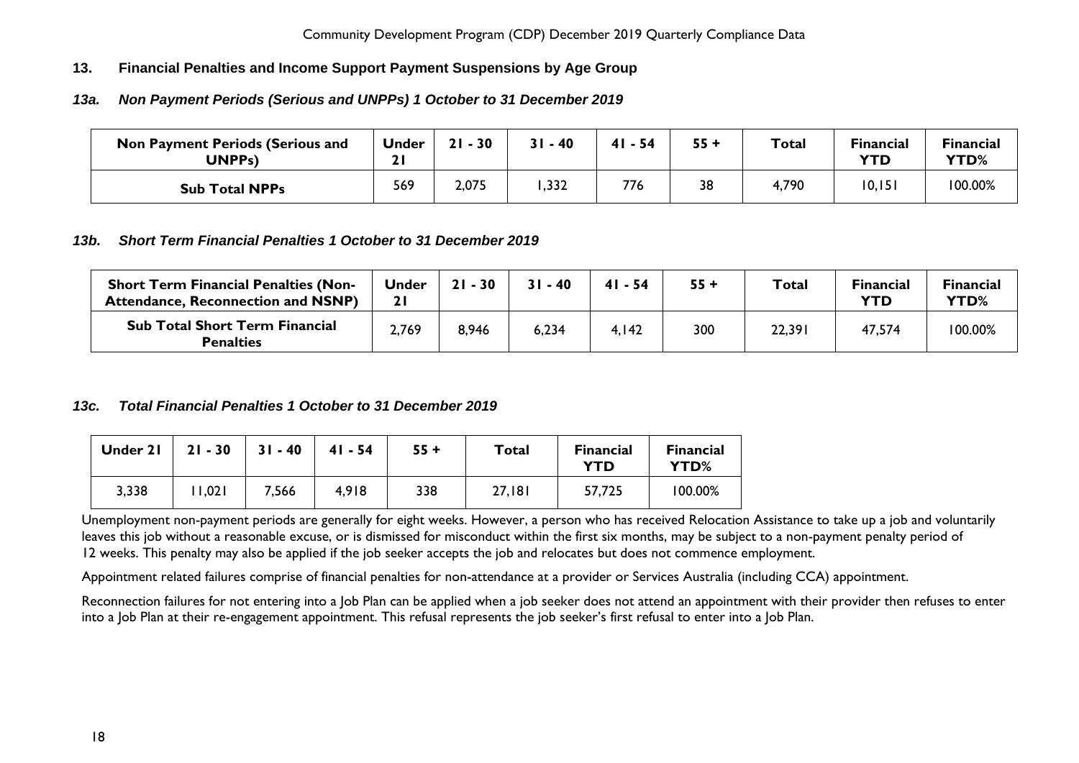## <span id="page-18-0"></span>**13. Financial Penalties and Income Support Payment Suspensions by Age Group**

## <span id="page-18-1"></span>*13a. Non Payment Periods (Serious and UNPPs) 1 October to 31 December 2019*

| <b>Non Payment Periods (Serious and</b><br>UNPPs) | <b>Under</b><br>21 | $21 - 30$ | $31 - 40$ | $41 - 54$ | $55 +$ | <b>Total</b> | <b>Financial</b><br><b>YTD</b> | <b>Financial</b><br>YTD% |
|---------------------------------------------------|--------------------|-----------|-----------|-----------|--------|--------------|--------------------------------|--------------------------|
| <b>Sub Total NPPs</b>                             | 569                | 2,075     | ,332      | 776       | 38     | 4,790        | 10,151                         | 100.00%                  |

## <span id="page-18-2"></span>*13b. Short Term Financial Penalties 1 October to 31 December 2019*

| <b>Short Term Financial Penalties (Non-</b><br><b>Attendance, Reconnection and NSNP)</b> | <b>Under</b> | $21 - 30$ | $31 - 40$ | 41 - 54 | $55 +$ | <b>Total</b> | <b>Financial</b><br>YTD | <b>Financial</b><br>YTD% |
|------------------------------------------------------------------------------------------|--------------|-----------|-----------|---------|--------|--------------|-------------------------|--------------------------|
| <b>Sub Total Short Term Financial</b><br><b>Penalties</b>                                | 2,769        | 8,946     | 6,234     | 4,142   | 300    | 22,391       | 47,574                  | 100.00%                  |

#### <span id="page-18-3"></span>*13c. Total Financial Penalties 1 October to 31 December 2019*

| Under 21 | $21 - 30$ | $31 - 40$ | $41 - 54$ | $55 +$ | Total  | <b>Financial</b><br>YTD | <b>Financial</b><br>YTD% |
|----------|-----------|-----------|-----------|--------|--------|-------------------------|--------------------------|
| 3,338    | 1,021     | 7,566     | 4,918     | 338    | 27,181 | 57,725                  | 100.00%                  |

Unemployment non-payment periods are generally for eight weeks. However, a person who has received Relocation Assistance to take up a job and voluntarily leaves this job without a reasonable excuse, or is dismissed for misconduct within the first six months, may be subject to a non-payment penalty period of 12 weeks. This penalty may also be applied if the job seeker accepts the job and relocates but does not commence employment.

Appointment related failures comprise of financial penalties for non-attendance at a provider or Services Australia (including CCA) appointment.

Reconnection failures for not entering into a Job Plan can be applied when a job seeker does not attend an appointment with their provider then refuses to enter into a Job Plan at their re-engagement appointment. This refusal represents the job seeker's first refusal to enter into a Job Plan.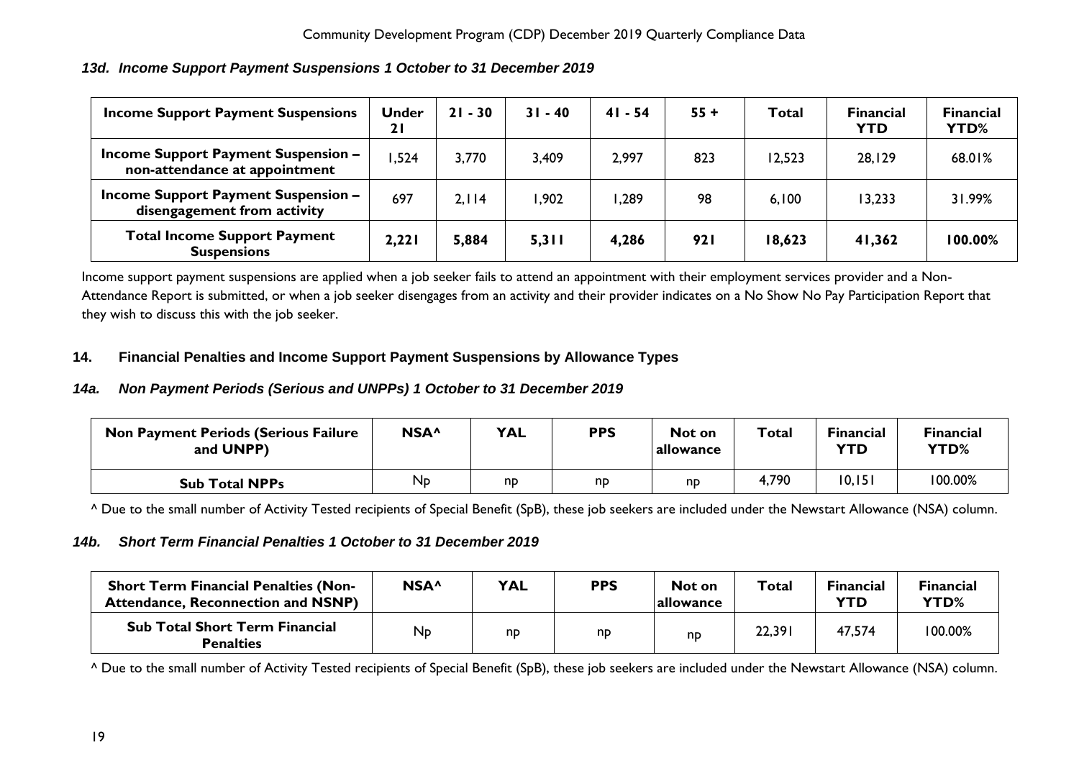| <b>Income Support Payment Suspensions</b>                                   | <b>Under</b><br>21 | $21 - 30$ | $31 - 40$ | $41 - 54$ | $55 +$ | Total  | <b>Financial</b><br><b>YTD</b> | <b>Financial</b><br>YTD% |
|-----------------------------------------------------------------------------|--------------------|-----------|-----------|-----------|--------|--------|--------------------------------|--------------------------|
| <b>Income Support Payment Suspension -</b><br>non-attendance at appointment | ,524               | 3,770     | 3,409     | 2,997     | 823    | 12,523 | 28,129                         | 68.01%                   |
| <b>Income Support Payment Suspension -</b><br>disengagement from activity   | 697                | 2.114     | 1,902     | ,289      | 98     | 6,100  | 13,233                         | 31.99%                   |
| <b>Total Income Support Payment</b><br><b>Suspensions</b>                   | 2,221              | 5,884     | 5,311     | 4,286     | 921    | 18,623 | 41,362                         | 100.00%                  |

<span id="page-19-0"></span>*13d. Income Support Payment Suspensions 1 October to 31 December 2019*

Income support payment suspensions are applied when a job seeker fails to attend an appointment with their employment services provider and a Non-Attendance Report is submitted, or when a job seeker disengages from an activity and their provider indicates on a No Show No Pay Participation Report that they wish to discuss this with the job seeker.

## <span id="page-19-1"></span>**14. Financial Penalties and Income Support Payment Suspensions by Allowance Types**

## <span id="page-19-2"></span>*14a. Non Payment Periods (Serious and UNPPs) 1 October to 31 December 2019*

| <b>Non Payment Periods (Serious Failure</b><br>and UNPP) | NSA <sup>^</sup> | <b>YAL</b> | <b>PPS</b> | Not on<br>  allowance | Total | <b>Financial</b><br>YTD | <b>Financial</b><br>YTD% |
|----------------------------------------------------------|------------------|------------|------------|-----------------------|-------|-------------------------|--------------------------|
| <b>Sub Total NPPs</b>                                    | N <sub>D</sub>   | np         | nd         | np                    | 4,790 | 10, 151                 | 100.00%                  |

^ Due to the small number of Activity Tested recipients of Special Benefit (SpB), these job seekers are included under the Newstart Allowance (NSA) column.

## <span id="page-19-3"></span>*14b. Short Term Financial Penalties 1 October to 31 December 2019*

| <b>Short Term Financial Penalties (Non-</b><br><b>Attendance, Reconnection and NSNP)</b> | NSA <sup>^</sup> | <b>YAL</b> | <b>PPS</b> | Not on<br>  allowance | Total  | <b>Financial</b><br>YTD | <b>Financial</b><br>YTD% |
|------------------------------------------------------------------------------------------|------------------|------------|------------|-----------------------|--------|-------------------------|--------------------------|
| <b>Sub Total Short Term Financial</b><br><b>Penalties</b>                                | Np               | np         | np         | np                    | 22,391 | 47,574                  | 100.00%                  |

^ Due to the small number of Activity Tested recipients of Special Benefit (SpB), these job seekers are included under the Newstart Allowance (NSA) column.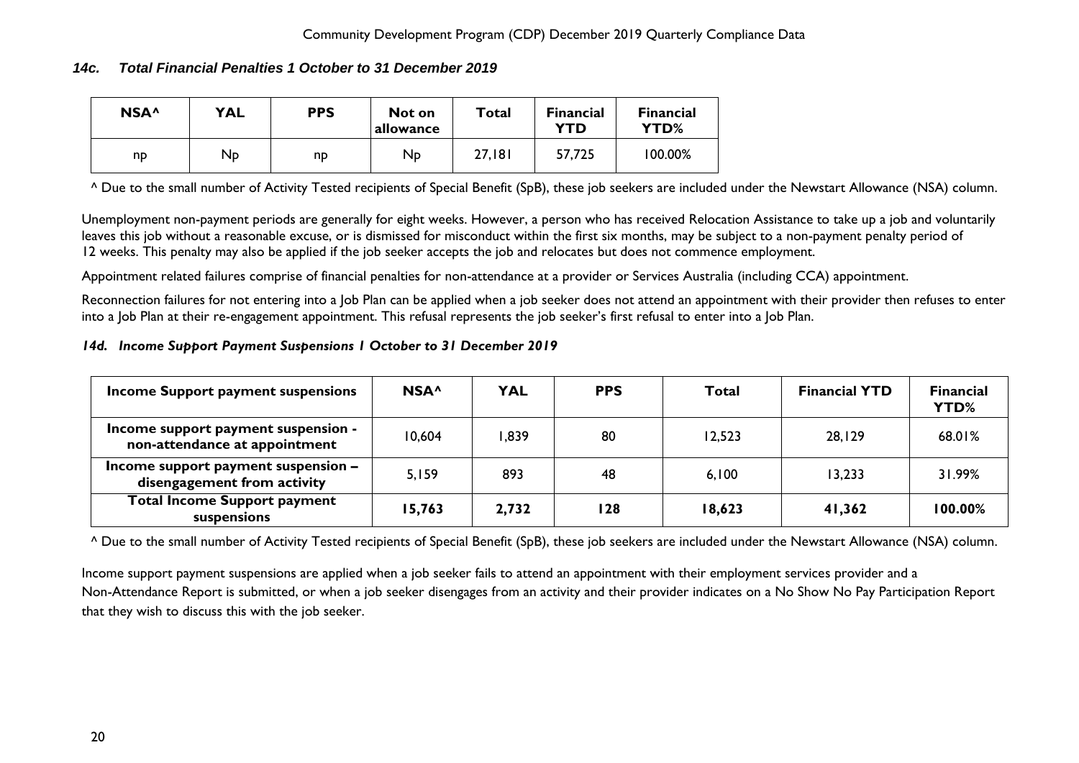## <span id="page-20-0"></span>*14c. Total Financial Penalties 1 October to 31 December 2019*

| NSA <sup>^</sup> | <b>YAL</b> | <b>PPS</b> | Not on<br>allowance | Total  | <b>Financial</b><br><b>YTD</b> | <b>Financial</b><br>YTD% |
|------------------|------------|------------|---------------------|--------|--------------------------------|--------------------------|
| np               | Np         | np         | $N_{\rm{D}}$        | 27,181 | 57,725                         | 100.00%                  |

^ Due to the small number of Activity Tested recipients of Special Benefit (SpB), these job seekers are included under the Newstart Allowance (NSA) column.

Unemployment non-payment periods are generally for eight weeks. However, a person who has received Relocation Assistance to take up a job and voluntarily leaves this job without a reasonable excuse, or is dismissed for misconduct within the first six months, may be subject to a non-payment penalty period of 12 weeks. This penalty may also be applied if the job seeker accepts the job and relocates but does not commence employment.

Appointment related failures comprise of financial penalties for non-attendance at a provider or Services Australia (including CCA) appointment.

Reconnection failures for not entering into a Job Plan can be applied when a job seeker does not attend an appointment with their provider then refuses to enter into a Job Plan at their re-engagement appointment. This refusal represents the job seeker's first refusal to enter into a Job Plan.

#### <span id="page-20-1"></span>*14d. Income Support Payment Suspensions 1 October to 31 December 2019*

| Income Support payment suspensions                                   | NSA <sup>^</sup> | <b>YAL</b> | <b>PPS</b> | Total  | <b>Financial YTD</b> | <b>Financial</b><br>YTD% |
|----------------------------------------------------------------------|------------------|------------|------------|--------|----------------------|--------------------------|
| Income support payment suspension -<br>non-attendance at appointment | 10.604           | ,839       | 80         | 12,523 | 28,129               | 68.01%                   |
| Income support payment suspension -<br>disengagement from activity   | 5,159            | 893        | 48         | 6,100  | 13.233               | 31.99%                   |
| <b>Total Income Support payment</b><br>suspensions                   | 15,763           | 2,732      | 128        | 18,623 | 41,362               | 100.00%                  |

^ Due to the small number of Activity Tested recipients of Special Benefit (SpB), these job seekers are included under the Newstart Allowance (NSA) column.

Income support payment suspensions are applied when a job seeker fails to attend an appointment with their employment services provider and a Non-Attendance Report is submitted, or when a job seeker disengages from an activity and their provider indicates on a No Show No Pay Participation Report that they wish to discuss this with the job seeker.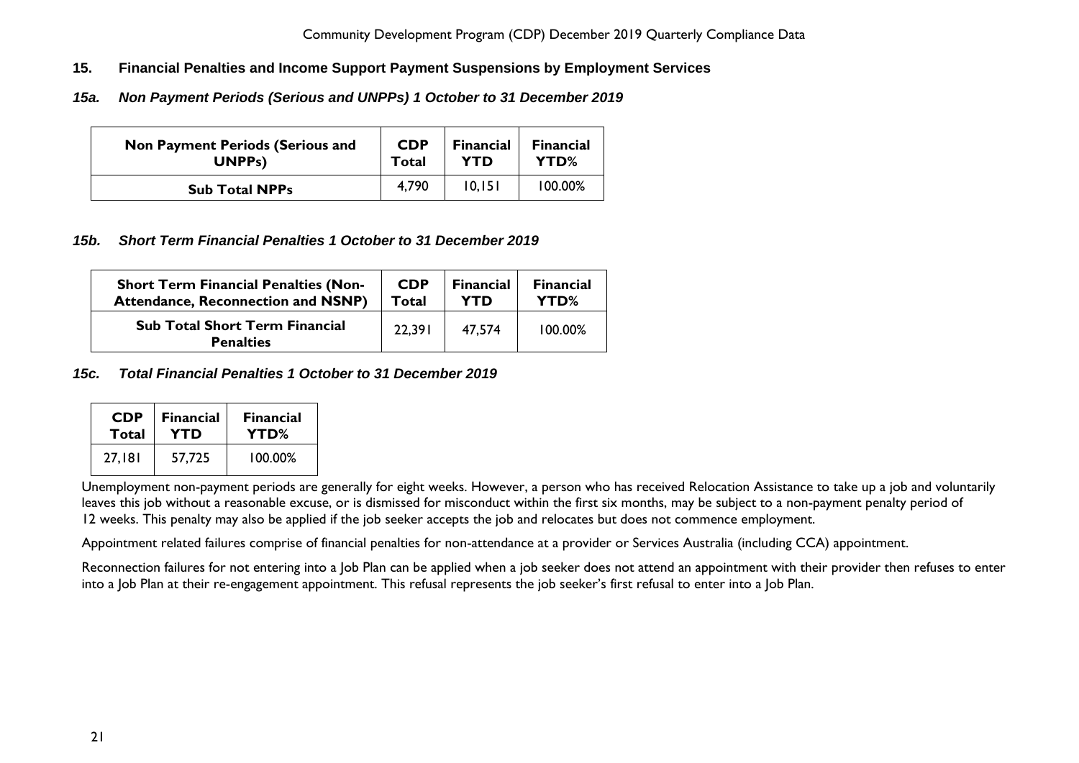- <span id="page-21-0"></span>**15. Financial Penalties and Income Support Payment Suspensions by Employment Services**
- <span id="page-21-1"></span>*15a. Non Payment Periods (Serious and UNPPs) 1 October to 31 December 2019*

| <b>Non Payment Periods (Serious and</b> | <b>CDP</b> | <b>Financial</b> | <b>Financial</b> |
|-----------------------------------------|------------|------------------|------------------|
| UNPP <sub>s</sub> )                     | Total      | YTD              | YTD%             |
| <b>Sub Total NPPs</b>                   | 4.790      | 10.151           | $100.00\%$       |

## <span id="page-21-2"></span>*15b. Short Term Financial Penalties 1 October to 31 December 2019*

| <b>Short Term Financial Penalties (Non-</b>               | <b>CDP</b> | <b>Financial</b> | <b>Financial</b> |
|-----------------------------------------------------------|------------|------------------|------------------|
| <b>Attendance, Reconnection and NSNP)</b>                 | Total      | <b>YTD</b>       | YTD%             |
| <b>Sub Total Short Term Financial</b><br><b>Penalties</b> | 22.391     | 47.574           | 100.00%          |

# <span id="page-21-3"></span>*15c. Total Financial Penalties 1 October to 31 December 2019*

| <b>CDP</b> | <b>Financial</b> | <b>Financial</b> |  |
|------------|------------------|------------------|--|
| Total      | YTD              | YTD%             |  |
| 27.181     | 57.725           | 100.00%          |  |

Unemployment non-payment periods are generally for eight weeks. However, a person who has received Relocation Assistance to take up a job and voluntarily leaves this job without a reasonable excuse, or is dismissed for misconduct within the first six months, may be subject to a non-payment penalty period of 12 weeks. This penalty may also be applied if the job seeker accepts the job and relocates but does not commence employment.

Appointment related failures comprise of financial penalties for non-attendance at a provider or Services Australia (including CCA) appointment.

Reconnection failures for not entering into a Job Plan can be applied when a job seeker does not attend an appointment with their provider then refuses to enter into a Job Plan at their re-engagement appointment. This refusal represents the job seeker's first refusal to enter into a Job Plan.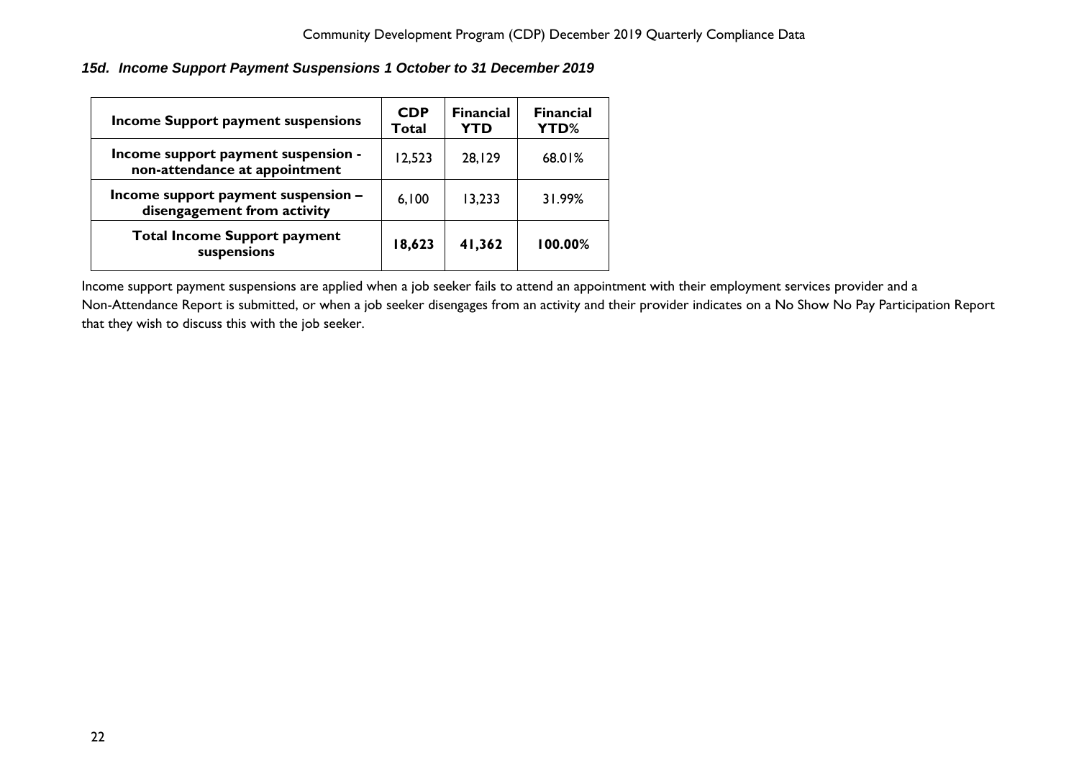<span id="page-22-0"></span>*15d. Income Support Payment Suspensions 1 October to 31 December 2019*

| Income Support payment suspensions                                   | <b>CDP</b><br>Total | <b>Financial</b><br><b>YTD</b> | <b>Financial</b><br>YTD% |
|----------------------------------------------------------------------|---------------------|--------------------------------|--------------------------|
| Income support payment suspension -<br>non-attendance at appointment | 12,523              | 28,129                         | 68.01%                   |
| Income support payment suspension -<br>disengagement from activity   | 6,100               | 13,233                         | 31.99%                   |
| <b>Total Income Support payment</b><br>suspensions                   | 18,623              | 41,362                         | 100.00%                  |

Income support payment suspensions are applied when a job seeker fails to attend an appointment with their employment services provider and a Non-Attendance Report is submitted, or when a job seeker disengages from an activity and their provider indicates on a No Show No Pay Participation Report that they wish to discuss this with the job seeker.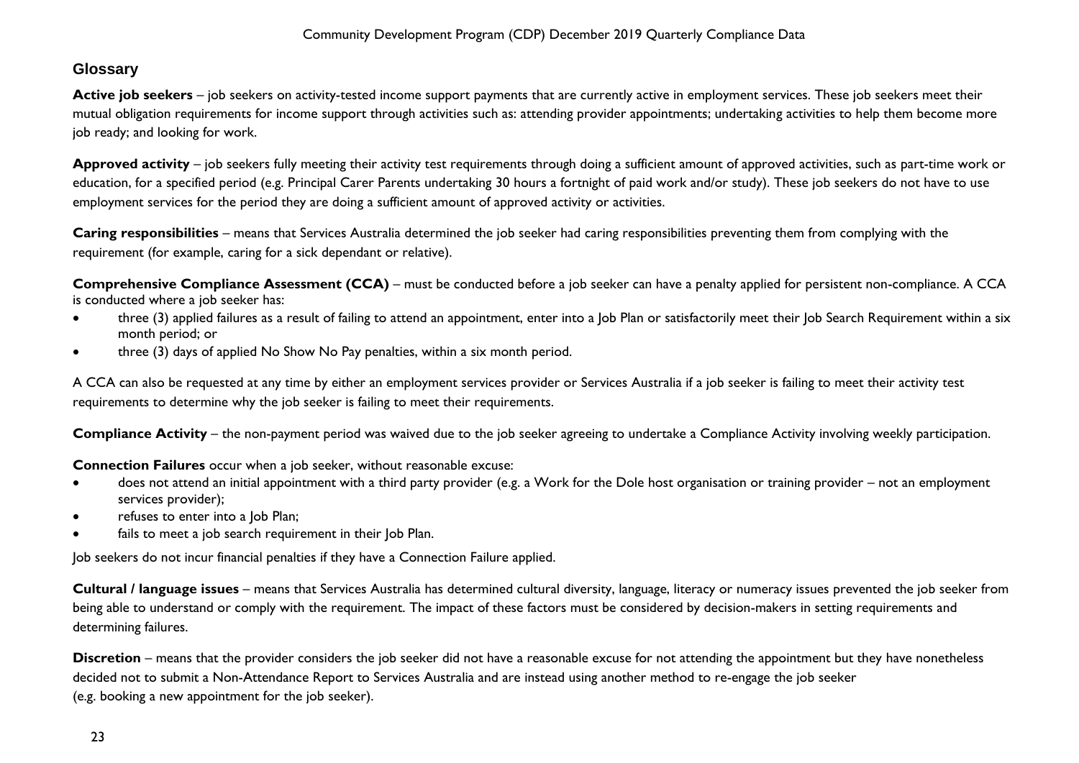# <span id="page-23-0"></span>**Glossary**

Active job seekers – job seekers on activity-tested income support payments that are currently active in employment services. These job seekers meet their mutual obligation requirements for income support through activities such as: attending provider appointments; undertaking activities to help them become more job ready; and looking for work.

**Approved activity** – job seekers fully meeting their activity test requirements through doing a sufficient amount of approved activities, such as part-time work or education, for a specified period (e.g. Principal Carer Parents undertaking 30 hours a fortnight of paid work and/or study). These job seekers do not have to use employment services for the period they are doing a sufficient amount of approved activity or activities.

**Caring responsibilities** – means that Services Australia determined the job seeker had caring responsibilities preventing them from complying with the requirement (for example, caring for a sick dependant or relative).

**Comprehensive Compliance Assessment (CCA)** – must be conducted before a job seeker can have a penalty applied for persistent non-compliance. A CCA is conducted where a job seeker has:

- three (3) applied failures as a result of failing to attend an appointment, enter into a Job Plan or satisfactorily meet their Job Search Requirement within a six month period; or
- three (3) days of applied No Show No Pay penalties, within a six month period.

A CCA can also be requested at any time by either an employment services provider or Services Australia if a job seeker is failing to meet their activity test requirements to determine why the job seeker is failing to meet their requirements.

**Compliance Activity** – the non-payment period was waived due to the job seeker agreeing to undertake a Compliance Activity involving weekly participation.

**Connection Failures** occur when a job seeker, without reasonable excuse:

- does not attend an initial appointment with a third party provider (e.g. a Work for the Dole host organisation or training provider not an employment services provider);
- refuses to enter into a Job Plan;
- fails to meet a job search requirement in their Job Plan.

Job seekers do not incur financial penalties if they have a Connection Failure applied.

**Cultural / language issues** – means that Services Australia has determined cultural diversity, language, literacy or numeracy issues prevented the job seeker from being able to understand or comply with the requirement. The impact of these factors must be considered by decision-makers in setting requirements and determining failures.

**Discretion** – means that the provider considers the job seeker did not have a reasonable excuse for not attending the appointment but they have nonetheless decided not to submit a Non-Attendance Report to Services Australia and are instead using another method to re-engage the job seeker (e.g. booking a new appointment for the job seeker).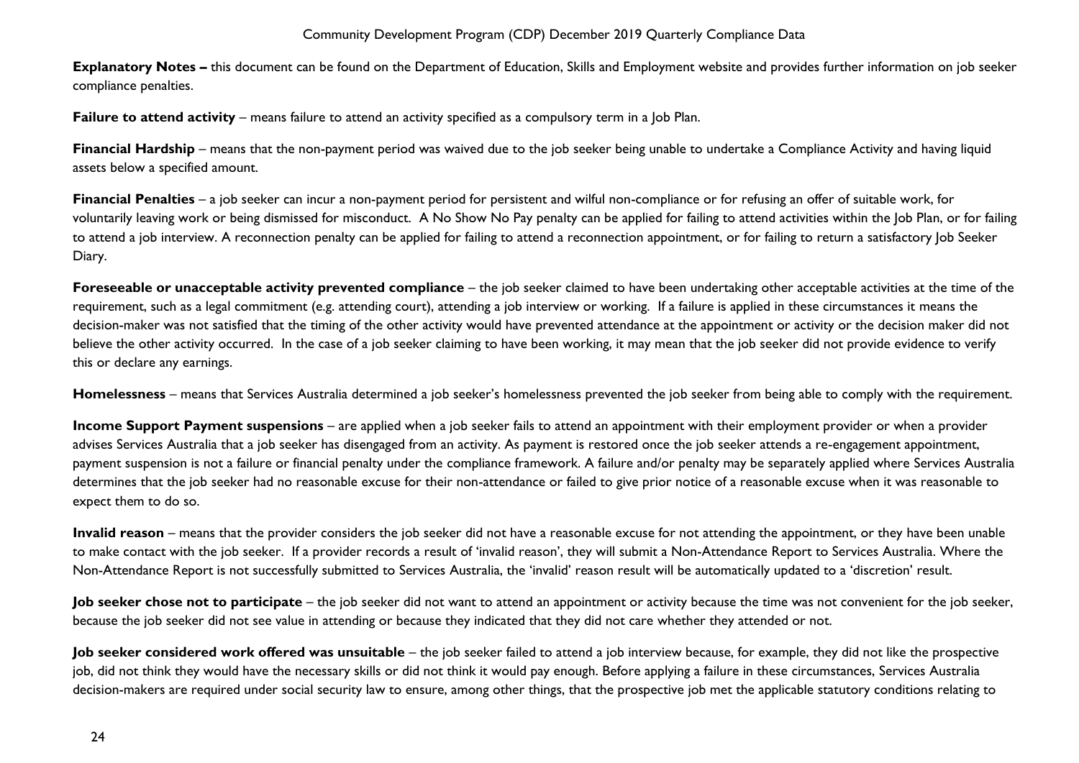**Explanatory Notes –** this document can be found on the Department of Education, Skills and Employment website and provides further information on job seeker compliance penalties.

**Failure to attend activity** – means failure to attend an activity specified as a compulsory term in a lob Plan.

**Financial Hardship** – means that the non-payment period was waived due to the job seeker being unable to undertake a Compliance Activity and having liquid assets below a specified amount.

**Financial Penalties** – a job seeker can incur a non-payment period for persistent and wilful non-compliance or for refusing an offer of suitable work, for voluntarily leaving work or being dismissed for misconduct. A No Show No Pay penalty can be applied for failing to attend activities within the Job Plan, or for failing to attend a job interview. A reconnection penalty can be applied for failing to attend a reconnection appointment, or for failing to return a satisfactory Job Seeker Diary.

**Foreseeable or unacceptable activity prevented compliance** – the job seeker claimed to have been undertaking other acceptable activities at the time of the requirement, such as a legal commitment (e.g. attending court), attending a job interview or working. If a failure is applied in these circumstances it means the decision-maker was not satisfied that the timing of the other activity would have prevented attendance at the appointment or activity or the decision maker did not believe the other activity occurred. In the case of a job seeker claiming to have been working, it may mean that the job seeker did not provide evidence to verify this or declare any earnings.

**Homelessness** – means that Services Australia determined a job seeker's homelessness prevented the job seeker from being able to comply with the requirement.

**Income Support Payment suspensions** – are applied when a job seeker fails to attend an appointment with their employment provider or when a provider advises Services Australia that a job seeker has disengaged from an activity. As payment is restored once the job seeker attends a re-engagement appointment, payment suspension is not a failure or financial penalty under the compliance framework. A failure and/or penalty may be separately applied where Services Australia determines that the job seeker had no reasonable excuse for their non-attendance or failed to give prior notice of a reasonable excuse when it was reasonable to expect them to do so.

**Invalid reason** – means that the provider considers the job seeker did not have a reasonable excuse for not attending the appointment, or they have been unable to make contact with the job seeker. If a provider records a result of 'invalid reason', they will submit a Non-Attendance Report to Services Australia. Where the Non-Attendance Report is not successfully submitted to Services Australia, the 'invalid' reason result will be automatically updated to a 'discretion' result.

**Job seeker chose not to participate** – the job seeker did not want to attend an appointment or activity because the time was not convenient for the job seeker, because the job seeker did not see value in attending or because they indicated that they did not care whether they attended or not.

**Job seeker considered work offered was unsuitable** – the job seeker failed to attend a job interview because, for example, they did not like the prospective job, did not think they would have the necessary skills or did not think it would pay enough. Before applying a failure in these circumstances, Services Australia decision-makers are required under social security law to ensure, among other things, that the prospective job met the applicable statutory conditions relating to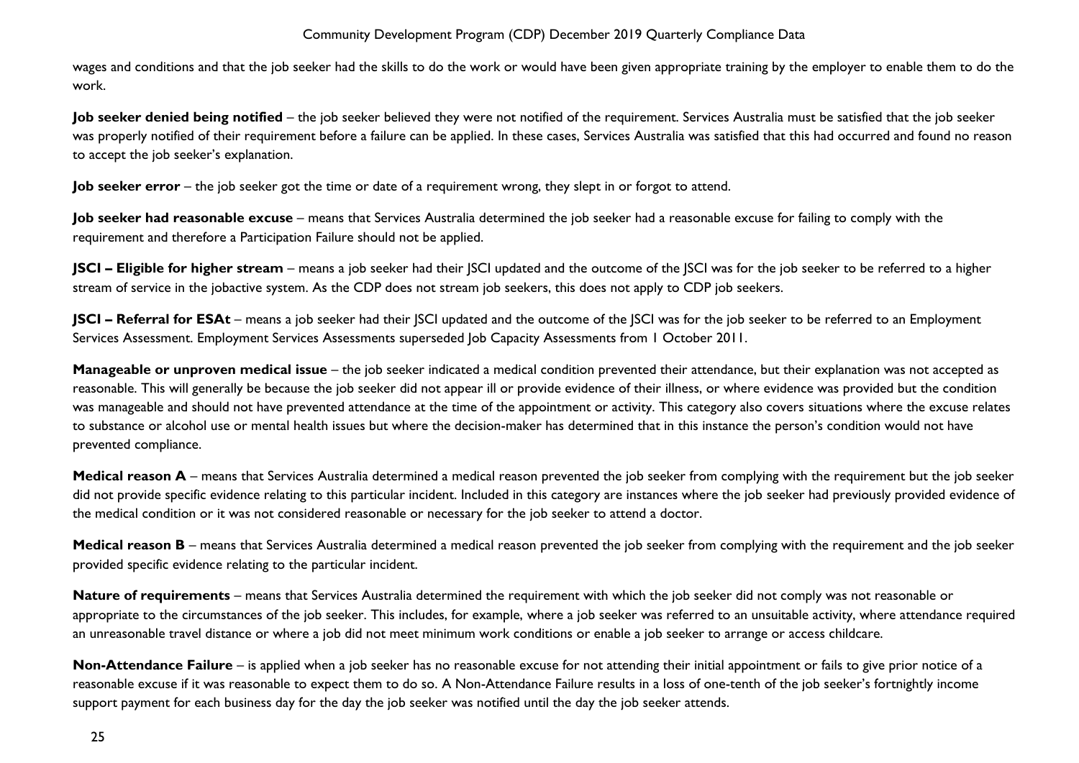wages and conditions and that the job seeker had the skills to do the work or would have been given appropriate training by the employer to enable them to do the work.

**Job seeker denied being notified** – the job seeker believed they were not notified of the requirement. Services Australia must be satisfied that the job seeker was properly notified of their requirement before a failure can be applied. In these cases, Services Australia was satisfied that this had occurred and found no reason to accept the job seeker's explanation.

**Job seeker error** – the job seeker got the time or date of a requirement wrong, they slept in or forgot to attend.

**Job seeker had reasonable excuse** – means that Services Australia determined the job seeker had a reasonable excuse for failing to comply with the requirement and therefore a Participation Failure should not be applied.

**JSCI – Eligible for higher stream** – means a job seeker had their SCI updated and the outcome of the SCI was for the job seeker to be referred to a higher stream of service in the jobactive system. As the CDP does not stream job seekers, this does not apply to CDP job seekers.

**JSCI – Referral for ESAt** – means a job seeker had their SCI updated and the outcome of the JSCI was for the job seeker to be referred to an Employment Services Assessment. Employment Services Assessments superseded Job Capacity Assessments from 1 October 2011.

**Manageable or unproven medical issue** – the job seeker indicated a medical condition prevented their attendance, but their explanation was not accepted as reasonable. This will generally be because the job seeker did not appear ill or provide evidence of their illness, or where evidence was provided but the condition was manageable and should not have prevented attendance at the time of the appointment or activity. This category also covers situations where the excuse relates to substance or alcohol use or mental health issues but where the decision-maker has determined that in this instance the person's condition would not have prevented compliance.

**Medical reason A** – means that Services Australia determined a medical reason prevented the job seeker from complying with the requirement but the job seeker did not provide specific evidence relating to this particular incident. Included in this category are instances where the job seeker had previously provided evidence of the medical condition or it was not considered reasonable or necessary for the job seeker to attend a doctor.

**Medical reason B** – means that Services Australia determined a medical reason prevented the job seeker from complying with the requirement and the job seeker provided specific evidence relating to the particular incident.

**Nature of requirements** – means that Services Australia determined the requirement with which the job seeker did not comply was not reasonable or appropriate to the circumstances of the job seeker. This includes, for example, where a job seeker was referred to an unsuitable activity, where attendance required an unreasonable travel distance or where a job did not meet minimum work conditions or enable a job seeker to arrange or access childcare.

**Non-Attendance Failure** – is applied when a job seeker has no reasonable excuse for not attending their initial appointment or fails to give prior notice of a reasonable excuse if it was reasonable to expect them to do so. A Non-Attendance Failure results in a loss of one-tenth of the job seeker's fortnightly income support payment for each business day for the day the job seeker was notified until the day the job seeker attends.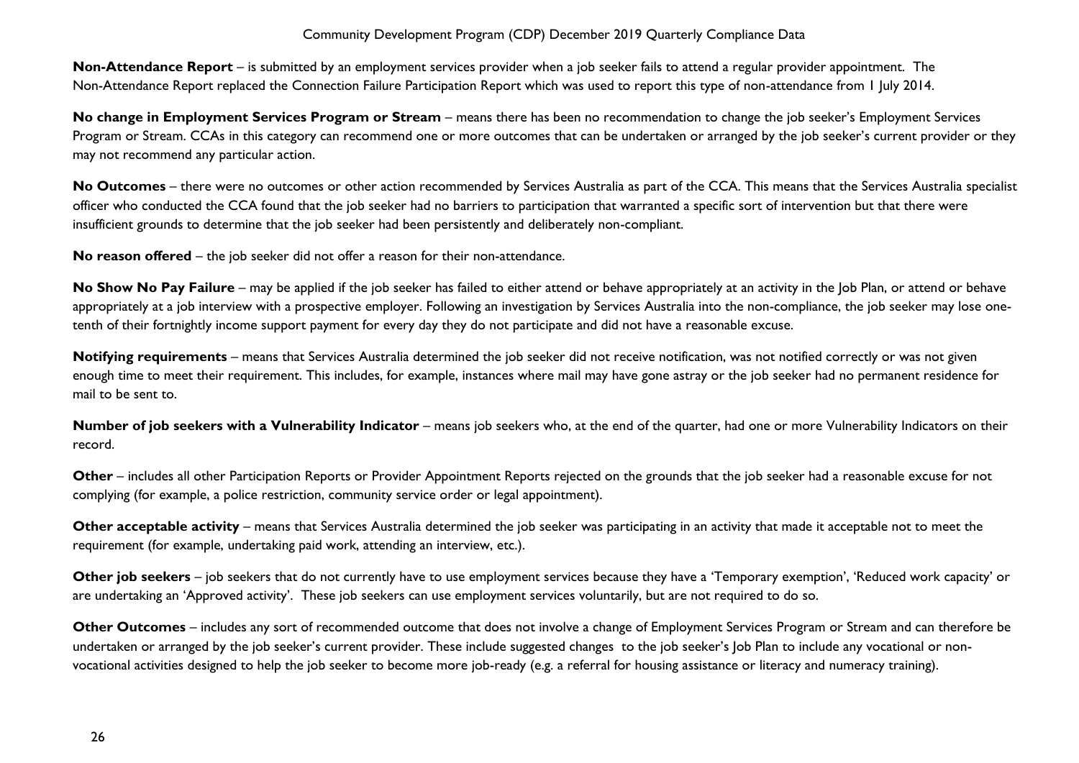**Non-Attendance Report** – is submitted by an employment services provider when a job seeker fails to attend a regular provider appointment. The Non-Attendance Report replaced the Connection Failure Participation Report which was used to report this type of non-attendance from 1 July 2014.

**No change in Employment Services Program or Stream** – means there has been no recommendation to change the job seeker's Employment Services Program or Stream. CCAs in this category can recommend one or more outcomes that can be undertaken or arranged by the job seeker's current provider or they may not recommend any particular action.

**No Outcomes** – there were no outcomes or other action recommended by Services Australia as part of the CCA. This means that the Services Australia specialist officer who conducted the CCA found that the job seeker had no barriers to participation that warranted a specific sort of intervention but that there were insufficient grounds to determine that the job seeker had been persistently and deliberately non-compliant.

**No reason offered** – the job seeker did not offer a reason for their non-attendance.

No Show No Pay Failure – may be applied if the job seeker has failed to either attend or behave appropriately at an activity in the Job Plan, or attend or behave appropriately at a job interview with a prospective employer. Following an investigation by Services Australia into the non-compliance, the job seeker may lose onetenth of their fortnightly income support payment for every day they do not participate and did not have a reasonable excuse.

Notifying requirements – means that Services Australia determined the job seeker did not receive notification, was not notified correctly or was not given enough time to meet their requirement. This includes, for example, instances where mail may have gone astray or the job seeker had no permanent residence for mail to be sent to.

**Number of job seekers with a Vulnerability Indicator** – means job seekers who, at the end of the quarter, had one or more Vulnerability Indicators on their record.

**Other** – includes all other Participation Reports or Provider Appointment Reports rejected on the grounds that the job seeker had a reasonable excuse for not complying (for example, a police restriction, community service order or legal appointment).

**Other acceptable activity** – means that Services Australia determined the job seeker was participating in an activity that made it acceptable not to meet the requirement (for example, undertaking paid work, attending an interview, etc.).

**Other job seekers** – job seekers that do not currently have to use employment services because they have a 'Temporary exemption', 'Reduced work capacity' or are undertaking an 'Approved activity'. These job seekers can use employment services voluntarily, but are not required to do so.

**Other Outcomes** – includes any sort of recommended outcome that does not involve a change of Employment Services Program or Stream and can therefore be undertaken or arranged by the job seeker's current provider. These include suggested changes to the job seeker's Job Plan to include any vocational or nonvocational activities designed to help the job seeker to become more job-ready (e.g. a referral for housing assistance or literacy and numeracy training).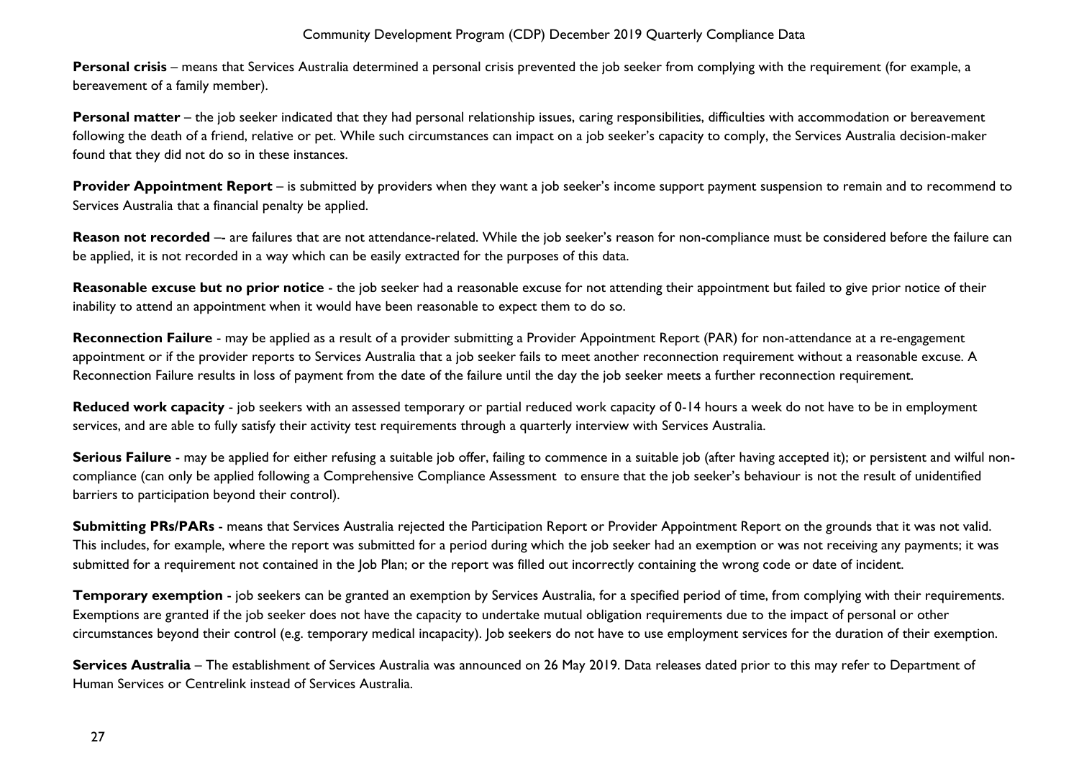**Personal crisis** – means that Services Australia determined a personal crisis prevented the job seeker from complying with the requirement (for example, a bereavement of a family member).

**Personal matter** – the job seeker indicated that they had personal relationship issues, caring responsibilities, difficulties with accommodation or bereavement following the death of a friend, relative or pet. While such circumstances can impact on a job seeker's capacity to comply, the Services Australia decision-maker found that they did not do so in these instances.

**Provider Appointment Report** – is submitted by providers when they want a job seeker's income support payment suspension to remain and to recommend to Services Australia that a financial penalty be applied.

Reason not recorded -- are failures that are not attendance-related. While the job seeker's reason for non-compliance must be considered before the failure can be applied, it is not recorded in a way which can be easily extracted for the purposes of this data.

**Reasonable excuse but no prior notice** - the job seeker had a reasonable excuse for not attending their appointment but failed to give prior notice of their inability to attend an appointment when it would have been reasonable to expect them to do so.

**Reconnection Failure** - may be applied as a result of a provider submitting a Provider Appointment Report (PAR) for non-attendance at a re-engagement appointment or if the provider reports to Services Australia that a job seeker fails to meet another reconnection requirement without a reasonable excuse. A Reconnection Failure results in loss of payment from the date of the failure until the day the job seeker meets a further reconnection requirement.

**Reduced work capacity** - job seekers with an assessed temporary or partial reduced work capacity of 0-14 hours a week do not have to be in employment services, and are able to fully satisfy their activity test requirements through a quarterly interview with Services Australia.

**Serious Failure** - may be applied for either refusing a suitable job offer, failing to commence in a suitable job (after having accepted it); or persistent and wilful noncompliance (can only be applied following a Comprehensive Compliance Assessment to ensure that the job seeker's behaviour is not the result of unidentified barriers to participation beyond their control).

**Submitting PRs/PARs** - means that Services Australia rejected the Participation Report or Provider Appointment Report on the grounds that it was not valid. This includes, for example, where the report was submitted for a period during which the job seeker had an exemption or was not receiving any payments; it was submitted for a requirement not contained in the Job Plan; or the report was filled out incorrectly containing the wrong code or date of incident.

**Temporary exemption** - job seekers can be granted an exemption by Services Australia, for a specified period of time, from complying with their requirements. Exemptions are granted if the job seeker does not have the capacity to undertake mutual obligation requirements due to the impact of personal or other circumstances beyond their control (e.g. temporary medical incapacity). Job seekers do not have to use employment services for the duration of their exemption.

**Services Australia** – The establishment of Services Australia was announced on 26 May 2019. Data releases dated prior to this may refer to Department of Human Services or Centrelink instead of Services Australia.